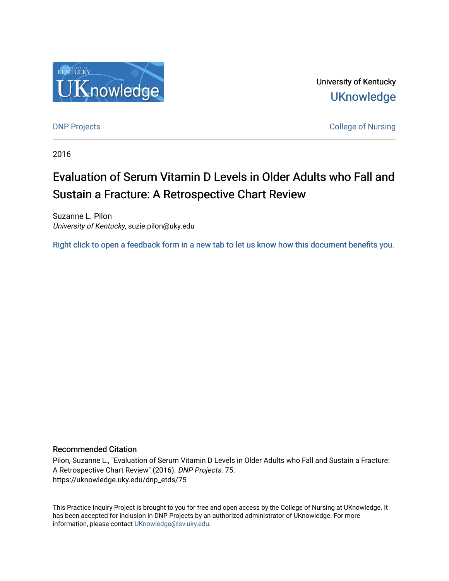

University of Kentucky **UKnowledge** 

[DNP Projects](https://uknowledge.uky.edu/dnp_etds) **College of Nursing** 

2016

# Evaluation of Serum Vitamin D Levels in Older Adults who Fall and Sustain a Fracture: A Retrospective Chart Review

Suzanne L. Pilon University of Kentucky, suzie.pilon@uky.edu

[Right click to open a feedback form in a new tab to let us know how this document benefits you.](https://uky.az1.qualtrics.com/jfe/form/SV_9mq8fx2GnONRfz7)

# Recommended Citation

Pilon, Suzanne L., "Evaluation of Serum Vitamin D Levels in Older Adults who Fall and Sustain a Fracture: A Retrospective Chart Review" (2016). DNP Projects. 75. https://uknowledge.uky.edu/dnp\_etds/75

This Practice Inquiry Project is brought to you for free and open access by the College of Nursing at UKnowledge. It has been accepted for inclusion in DNP Projects by an authorized administrator of UKnowledge. For more information, please contact [UKnowledge@lsv.uky.edu](mailto:UKnowledge@lsv.uky.edu).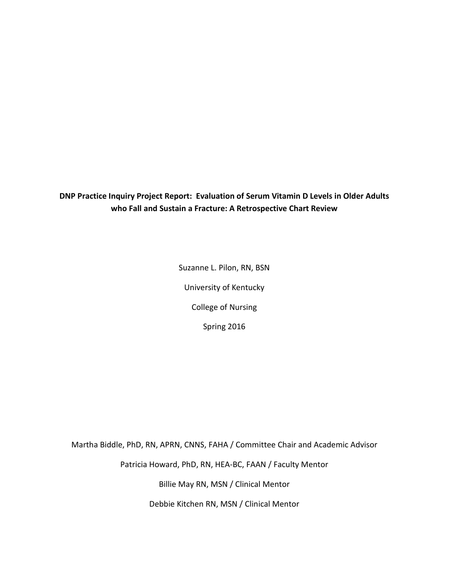**DNP Practice Inquiry Project Report: Evaluation of Serum Vitamin D Levels in Older Adults who Fall and Sustain a Fracture: A Retrospective Chart Review**

> Suzanne L. Pilon, RN, BSN University of Kentucky College of Nursing Spring 2016

Martha Biddle, PhD, RN, APRN, CNNS, FAHA / Committee Chair and Academic Advisor

Patricia Howard, PhD, RN, HEA-BC, FAAN / Faculty Mentor

Billie May RN, MSN / Clinical Mentor

Debbie Kitchen RN, MSN / Clinical Mentor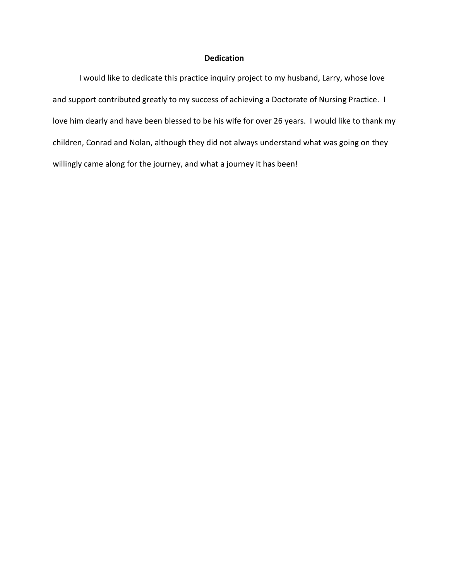# **Dedication**

I would like to dedicate this practice inquiry project to my husband, Larry, whose love and support contributed greatly to my success of achieving a Doctorate of Nursing Practice. I love him dearly and have been blessed to be his wife for over 26 years. I would like to thank my children, Conrad and Nolan, although they did not always understand what was going on they willingly came along for the journey, and what a journey it has been!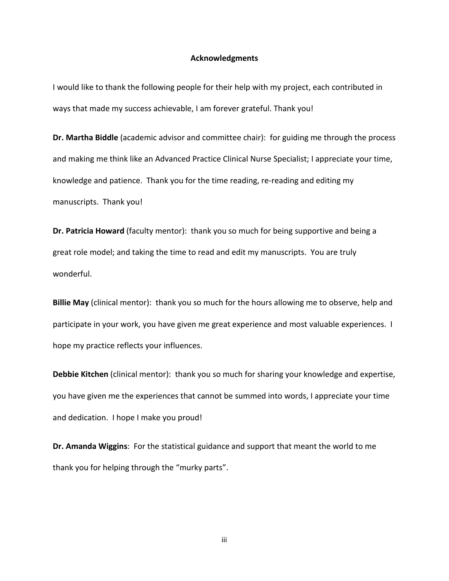### **Acknowledgments**

I would like to thank the following people for their help with my project, each contributed in ways that made my success achievable, I am forever grateful. Thank you!

**Dr. Martha Biddle** (academic advisor and committee chair): for guiding me through the process and making me think like an Advanced Practice Clinical Nurse Specialist; I appreciate your time, knowledge and patience. Thank you for the time reading, re-reading and editing my manuscripts. Thank you!

**Dr. Patricia Howard** (faculty mentor): thank you so much for being supportive and being a great role model; and taking the time to read and edit my manuscripts. You are truly wonderful.

**Billie May** (clinical mentor): thank you so much for the hours allowing me to observe, help and participate in your work, you have given me great experience and most valuable experiences. I hope my practice reflects your influences.

**Debbie Kitchen** (clinical mentor): thank you so much for sharing your knowledge and expertise, you have given me the experiences that cannot be summed into words, I appreciate your time and dedication. I hope I make you proud!

**Dr. Amanda Wiggins**: For the statistical guidance and support that meant the world to me thank you for helping through the "murky parts".

iii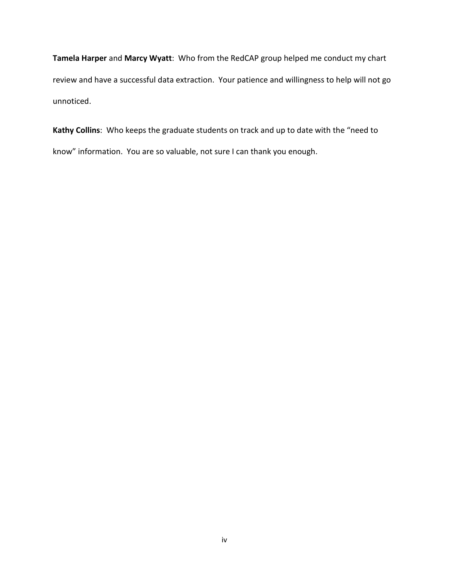**Tamela Harper** and **Marcy Wyatt**: Who from the RedCAP group helped me conduct my chart review and have a successful data extraction. Your patience and willingness to help will not go unnoticed.

**Kathy Collins**: Who keeps the graduate students on track and up to date with the "need to know" information. You are so valuable, not sure I can thank you enough.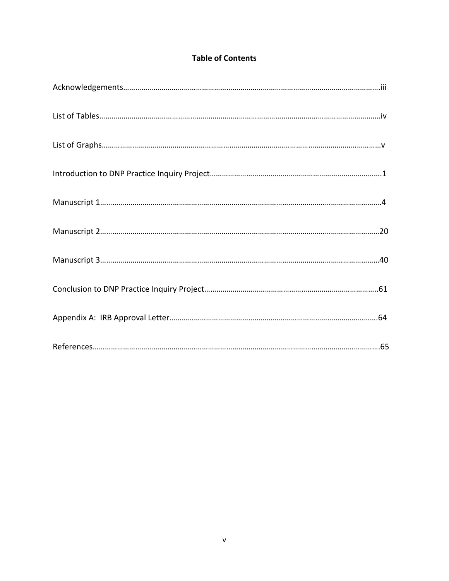# **Table of Contents**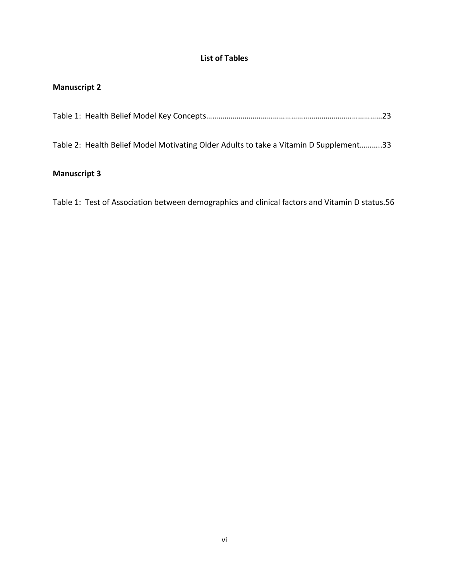# **List of Tables**

# **Manuscript 2**

|--|

Table 2: Health Belief Model Motivating Older Adults to take a Vitamin D Supplement………..33

# **Manuscript 3**

Table 1: Test of Association between demographics and clinical factors and Vitamin D status.56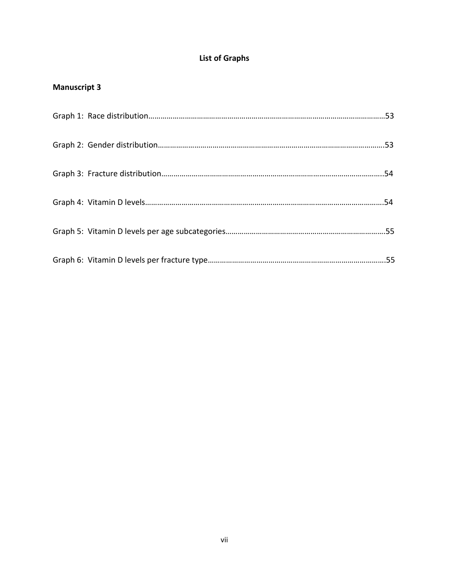# **List of Graphs**

# **Manuscript 3**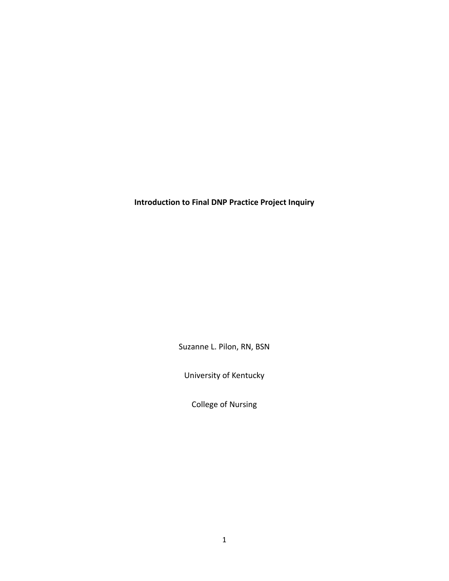**Introduction to Final DNP Practice Project Inquiry**

Suzanne L. Pilon, RN, BSN

University of Kentucky

College of Nursing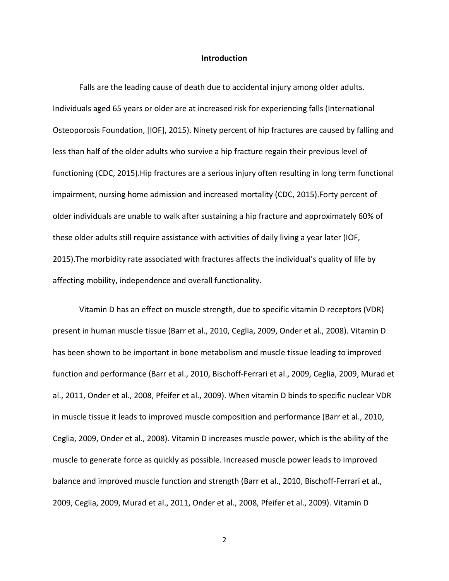### **Introduction**

Falls are the leading cause of death due to accidental injury among older adults. Individuals aged 65 years or older are at increased risk for experiencing falls (International Osteoporosis Foundation, [IOF], 2015). Ninety percent of hip fractures are caused by falling and less than half of the older adults who survive a hip fracture regain their previous level of functioning (CDC, 2015).Hip fractures are a serious injury often resulting in long term functional impairment, nursing home admission and increased mortality (CDC, 2015).Forty percent of older individuals are unable to walk after sustaining a hip fracture and approximately 60% of these older adults still require assistance with activities of daily living a year later (IOF, 2015).The morbidity rate associated with fractures affects the individual's quality of life by affecting mobility, independence and overall functionality.

Vitamin D has an effect on muscle strength, due to specific vitamin D receptors (VDR) present in human muscle tissue (Barr et al., 2010, Ceglia, 2009, Onder et al., 2008). Vitamin D has been shown to be important in bone metabolism and muscle tissue leading to improved function and performance (Barr et al., 2010, Bischoff-Ferrari et al., 2009, Ceglia, 2009, Murad et al., 2011, Onder et al., 2008, Pfeifer et al., 2009). When vitamin D binds to specific nuclear VDR in muscle tissue it leads to improved muscle composition and performance (Barr et al., 2010, Ceglia, 2009, Onder et al., 2008). Vitamin D increases muscle power, which is the ability of the muscle to generate force as quickly as possible. Increased muscle power leads to improved balance and improved muscle function and strength (Barr et al., 2010, Bischoff-Ferrari et al., 2009, Ceglia, 2009, Murad et al., 2011, Onder et al., 2008, Pfeifer et al., 2009). Vitamin D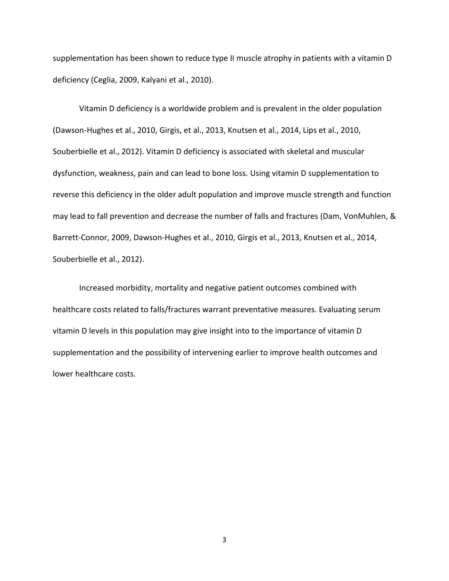supplementation has been shown to reduce type II muscle atrophy in patients with a vitamin D deficiency (Ceglia, 2009, Kalyani et al., 2010).

Vitamin D deficiency is a worldwide problem and is prevalent in the older population (Dawson-Hughes et al., 2010, Girgis, et al., 2013, Knutsen et al., 2014, Lips et al., 2010, Souberbielle et al., 2012). Vitamin D deficiency is associated with skeletal and muscular dysfunction, weakness, pain and can lead to bone loss. Using vitamin D supplementation to reverse this deficiency in the older adult population and improve muscle strength and function may lead to fall prevention and decrease the number of falls and fractures (Dam, VonMuhlen, & Barrett-Connor, 2009, Dawson-Hughes et al., 2010, Girgis et al., 2013, Knutsen et al., 2014, Souberbielle et al., 2012).

Increased morbidity, mortality and negative patient outcomes combined with healthcare costs related to falls/fractures warrant preventative measures. Evaluating serum vitamin D levels in this population may give insight into to the importance of vitamin D supplementation and the possibility of intervening earlier to improve health outcomes and lower healthcare costs.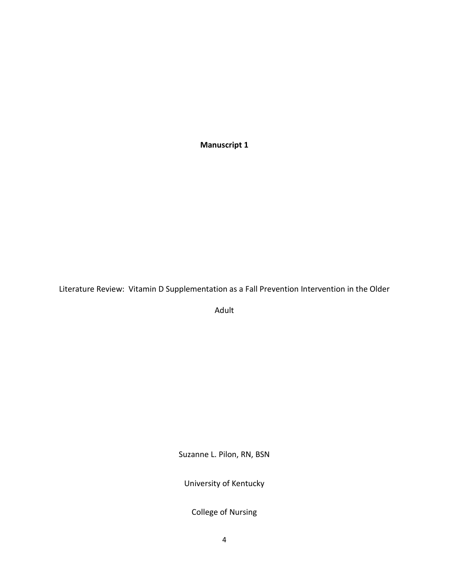**Manuscript 1**

Literature Review: Vitamin D Supplementation as a Fall Prevention Intervention in the Older

Adult

Suzanne L. Pilon, RN, BSN

University of Kentucky

College of Nursing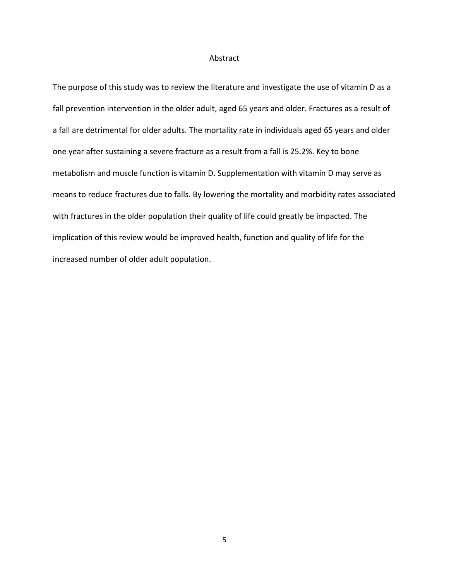### Abstract

The purpose of this study was to review the literature and investigate the use of vitamin D as a fall prevention intervention in the older adult, aged 65 years and older. Fractures as a result of a fall are detrimental for older adults. The mortality rate in individuals aged 65 years and older one year after sustaining a severe fracture as a result from a fall is 25.2%. Key to bone metabolism and muscle function is vitamin D. Supplementation with vitamin D may serve as means to reduce fractures due to falls. By lowering the mortality and morbidity rates associated with fractures in the older population their quality of life could greatly be impacted. The implication of this review would be improved health, function and quality of life for the increased number of older adult population.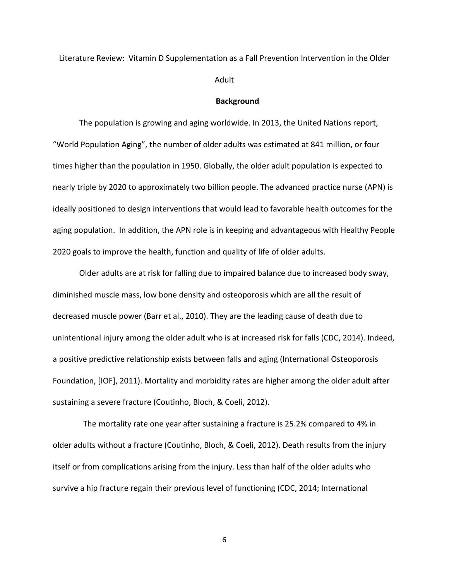Literature Review: Vitamin D Supplementation as a Fall Prevention Intervention in the Older

Adult

#### **Background**

The population is growing and aging worldwide. In 2013, the United Nations report, "World Population Aging", the number of older adults was estimated at 841 million, or four times higher than the population in 1950. Globally, the older adult population is expected to nearly triple by 2020 to approximately two billion people. The advanced practice nurse (APN) is ideally positioned to design interventions that would lead to favorable health outcomes for the aging population. In addition, the APN role is in keeping and advantageous with Healthy People 2020 goals to improve the health, function and quality of life of older adults.

Older adults are at risk for falling due to impaired balance due to increased body sway, diminished muscle mass, low bone density and osteoporosis which are all the result of decreased muscle power (Barr et al., 2010). They are the leading cause of death due to unintentional injury among the older adult who is at increased risk for falls (CDC, 2014). Indeed, a positive predictive relationship exists between falls and aging (International Osteoporosis Foundation, [IOF], 2011). Mortality and morbidity rates are higher among the older adult after sustaining a severe fracture (Coutinho, Bloch, & Coeli, 2012).

 The mortality rate one year after sustaining a fracture is 25.2% compared to 4% in older adults without a fracture (Coutinho, Bloch, & Coeli, 2012). Death results from the injury itself or from complications arising from the injury. Less than half of the older adults who survive a hip fracture regain their previous level of functioning (CDC, 2014; International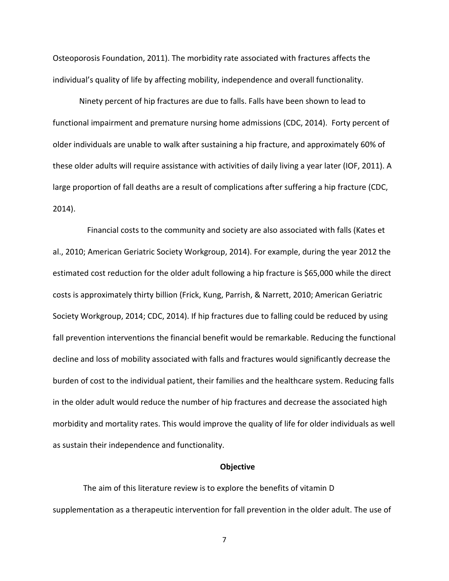Osteoporosis Foundation, 2011). The morbidity rate associated with fractures affects the individual's quality of life by affecting mobility, independence and overall functionality.

Ninety percent of hip fractures are due to falls. Falls have been shown to lead to functional impairment and premature nursing home admissions (CDC, 2014). Forty percent of older individuals are unable to walk after sustaining a hip fracture, and approximately 60% of these older adults will require assistance with activities of daily living a year later (IOF, 2011). A large proportion of fall deaths are a result of complications after suffering a hip fracture (CDC, 2014).

 Financial costs to the community and society are also associated with falls (Kates et al., 2010; American Geriatric Society Workgroup, 2014). For example, during the year 2012 the estimated cost reduction for the older adult following a hip fracture is \$65,000 while the direct costs is approximately thirty billion (Frick, Kung, Parrish, & Narrett, 2010; American Geriatric Society Workgroup, 2014; CDC, 2014). If hip fractures due to falling could be reduced by using fall prevention interventions the financial benefit would be remarkable. Reducing the functional decline and loss of mobility associated with falls and fractures would significantly decrease the burden of cost to the individual patient, their families and the healthcare system. Reducing falls in the older adult would reduce the number of hip fractures and decrease the associated high morbidity and mortality rates. This would improve the quality of life for older individuals as well as sustain their independence and functionality.

#### **Objective**

 The aim of this literature review is to explore the benefits of vitamin D supplementation as a therapeutic intervention for fall prevention in the older adult. The use of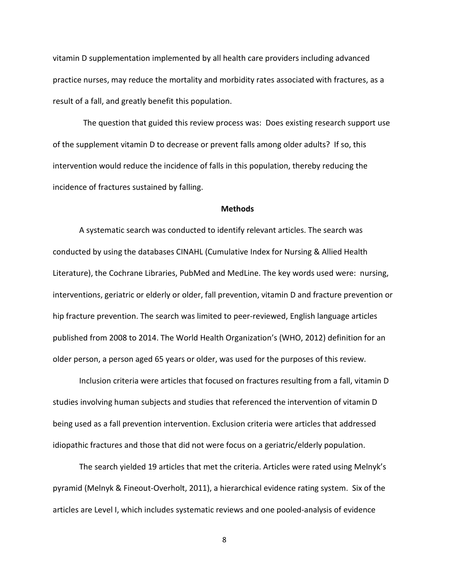vitamin D supplementation implemented by all health care providers including advanced practice nurses, may reduce the mortality and morbidity rates associated with fractures, as a result of a fall, and greatly benefit this population.

 The question that guided this review process was: Does existing research support use of the supplement vitamin D to decrease or prevent falls among older adults? If so, this intervention would reduce the incidence of falls in this population, thereby reducing the incidence of fractures sustained by falling.

#### **Methods**

A systematic search was conducted to identify relevant articles. The search was conducted by using the databases CINAHL (Cumulative Index for Nursing & Allied Health Literature), the Cochrane Libraries, PubMed and MedLine. The key words used were: nursing, interventions, geriatric or elderly or older, fall prevention, vitamin D and fracture prevention or hip fracture prevention. The search was limited to peer-reviewed, English language articles published from 2008 to 2014. The World Health Organization's (WHO, 2012) definition for an older person, a person aged 65 years or older, was used for the purposes of this review.

Inclusion criteria were articles that focused on fractures resulting from a fall, vitamin D studies involving human subjects and studies that referenced the intervention of vitamin D being used as a fall prevention intervention. Exclusion criteria were articles that addressed idiopathic fractures and those that did not were focus on a geriatric/elderly population.

The search yielded 19 articles that met the criteria. Articles were rated using Melnyk's pyramid (Melnyk & Fineout-Overholt, 2011), a hierarchical evidence rating system. Six of the articles are Level I, which includes systematic reviews and one pooled-analysis of evidence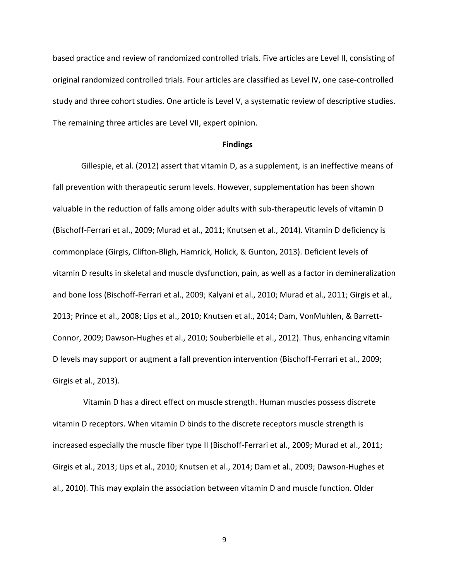based practice and review of randomized controlled trials. Five articles are Level II, consisting of original randomized controlled trials. Four articles are classified as Level IV, one case-controlled study and three cohort studies. One article is Level V, a systematic review of descriptive studies. The remaining three articles are Level VII, expert opinion.

#### **Findings**

Gillespie, et al. (2012) assert that vitamin D, as a supplement, is an ineffective means of fall prevention with therapeutic serum levels. However, supplementation has been shown valuable in the reduction of falls among older adults with sub-therapeutic levels of vitamin D (Bischoff-Ferrari et al., 2009; Murad et al., 2011; Knutsen et al., 2014). Vitamin D deficiency is commonplace (Girgis, Clifton-Bligh, Hamrick, Holick, & Gunton, 2013). Deficient levels of vitamin D results in skeletal and muscle dysfunction, pain, as well as a factor in demineralization and bone loss (Bischoff-Ferrari et al., 2009; Kalyani et al., 2010; Murad et al., 2011; Girgis et al., 2013; Prince et al., 2008; Lips et al., 2010; Knutsen et al., 2014; Dam, VonMuhlen, & Barrett-Connor, 2009; Dawson-Hughes et al., 2010; Souberbielle et al., 2012). Thus, enhancing vitamin D levels may support or augment a fall prevention intervention (Bischoff-Ferrari et al., 2009; Girgis et al., 2013).

 Vitamin D has a direct effect on muscle strength. Human muscles possess discrete vitamin D receptors. When vitamin D binds to the discrete receptors muscle strength is increased especially the muscle fiber type II (Bischoff-Ferrari et al., 2009; Murad et al., 2011; Girgis et al., 2013; Lips et al., 2010; Knutsen et al., 2014; Dam et al., 2009; Dawson-Hughes et al., 2010). This may explain the association between vitamin D and muscle function. Older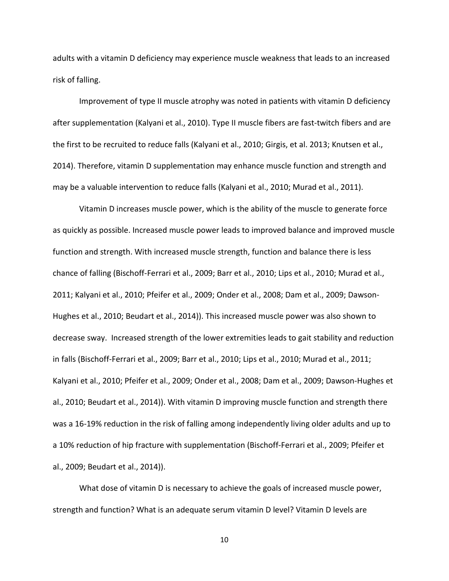adults with a vitamin D deficiency may experience muscle weakness that leads to an increased risk of falling.

Improvement of type II muscle atrophy was noted in patients with vitamin D deficiency after supplementation (Kalyani et al., 2010). Type II muscle fibers are fast-twitch fibers and are the first to be recruited to reduce falls (Kalyani et al., 2010; Girgis, et al. 2013; Knutsen et al., 2014). Therefore, vitamin D supplementation may enhance muscle function and strength and may be a valuable intervention to reduce falls (Kalyani et al., 2010; Murad et al., 2011).

Vitamin D increases muscle power, which is the ability of the muscle to generate force as quickly as possible. Increased muscle power leads to improved balance and improved muscle function and strength. With increased muscle strength, function and balance there is less chance of falling (Bischoff-Ferrari et al., 2009; Barr et al., 2010; Lips et al., 2010; Murad et al., 2011; Kalyani et al., 2010; Pfeifer et al., 2009; Onder et al., 2008; Dam et al., 2009; Dawson-Hughes et al., 2010; Beudart et al., 2014)). This increased muscle power was also shown to decrease sway. Increased strength of the lower extremities leads to gait stability and reduction in falls (Bischoff-Ferrari et al., 2009; Barr et al., 2010; Lips et al., 2010; Murad et al., 2011; Kalyani et al., 2010; Pfeifer et al., 2009; Onder et al., 2008; Dam et al., 2009; Dawson-Hughes et al., 2010; Beudart et al., 2014)). With vitamin D improving muscle function and strength there was a 16-19% reduction in the risk of falling among independently living older adults and up to a 10% reduction of hip fracture with supplementation (Bischoff-Ferrari et al., 2009; Pfeifer et al., 2009; Beudart et al., 2014)).

What dose of vitamin D is necessary to achieve the goals of increased muscle power, strength and function? What is an adequate serum vitamin D level? Vitamin D levels are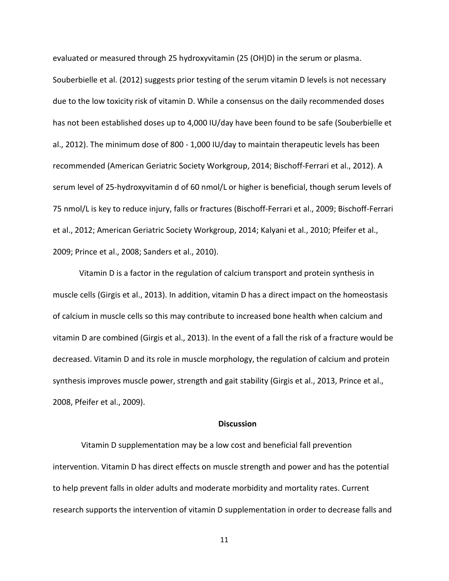evaluated or measured through 25 hydroxyvitamin (25 (OH)D) in the serum or plasma. Souberbielle et al. (2012) suggests prior testing of the serum vitamin D levels is not necessary due to the low toxicity risk of vitamin D. While a consensus on the daily recommended doses has not been established doses up to 4,000 IU/day have been found to be safe (Souberbielle et al., 2012). The minimum dose of 800 - 1,000 IU/day to maintain therapeutic levels has been recommended (American Geriatric Society Workgroup, 2014; Bischoff-Ferrari et al., 2012). A serum level of 25-hydroxyvitamin d of 60 nmol/L or higher is beneficial, though serum levels of 75 nmol/L is key to reduce injury, falls or fractures (Bischoff-Ferrari et al., 2009; Bischoff-Ferrari et al., 2012; American Geriatric Society Workgroup, 2014; Kalyani et al., 2010; Pfeifer et al., 2009; Prince et al., 2008; Sanders et al., 2010).

Vitamin D is a factor in the regulation of calcium transport and protein synthesis in muscle cells (Girgis et al., 2013). In addition, vitamin D has a direct impact on the homeostasis of calcium in muscle cells so this may contribute to increased bone health when calcium and vitamin D are combined (Girgis et al., 2013). In the event of a fall the risk of a fracture would be decreased. Vitamin D and its role in muscle morphology, the regulation of calcium and protein synthesis improves muscle power, strength and gait stability (Girgis et al., 2013, Prince et al., 2008, Pfeifer et al., 2009).

## **Discussion**

Vitamin D supplementation may be a low cost and beneficial fall prevention intervention. Vitamin D has direct effects on muscle strength and power and has the potential to help prevent falls in older adults and moderate morbidity and mortality rates. Current research supports the intervention of vitamin D supplementation in order to decrease falls and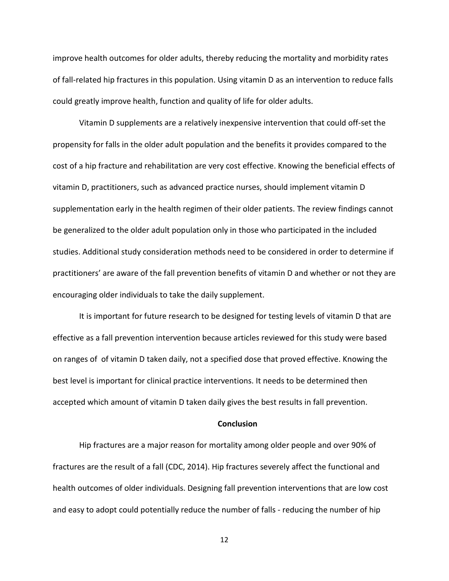improve health outcomes for older adults, thereby reducing the mortality and morbidity rates of fall-related hip fractures in this population. Using vitamin D as an intervention to reduce falls could greatly improve health, function and quality of life for older adults.

Vitamin D supplements are a relatively inexpensive intervention that could off-set the propensity for falls in the older adult population and the benefits it provides compared to the cost of a hip fracture and rehabilitation are very cost effective. Knowing the beneficial effects of vitamin D, practitioners, such as advanced practice nurses, should implement vitamin D supplementation early in the health regimen of their older patients. The review findings cannot be generalized to the older adult population only in those who participated in the included studies. Additional study consideration methods need to be considered in order to determine if practitioners' are aware of the fall prevention benefits of vitamin D and whether or not they are encouraging older individuals to take the daily supplement.

It is important for future research to be designed for testing levels of vitamin D that are effective as a fall prevention intervention because articles reviewed for this study were based on ranges of of vitamin D taken daily, not a specified dose that proved effective. Knowing the best level is important for clinical practice interventions. It needs to be determined then accepted which amount of vitamin D taken daily gives the best results in fall prevention.

# **Conclusion**

Hip fractures are a major reason for mortality among older people and over 90% of fractures are the result of a fall (CDC, 2014). Hip fractures severely affect the functional and health outcomes of older individuals. Designing fall prevention interventions that are low cost and easy to adopt could potentially reduce the number of falls - reducing the number of hip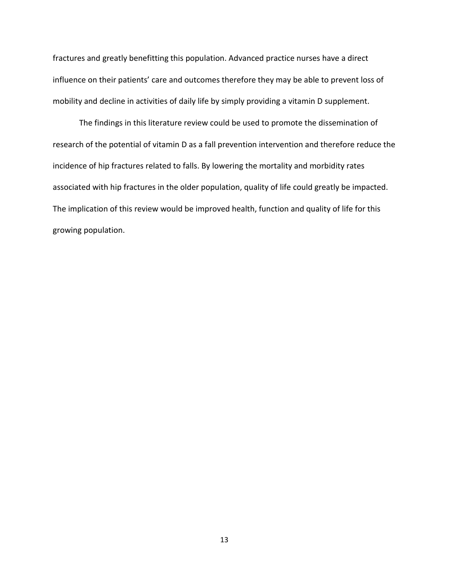fractures and greatly benefitting this population. Advanced practice nurses have a direct influence on their patients' care and outcomes therefore they may be able to prevent loss of mobility and decline in activities of daily life by simply providing a vitamin D supplement.

The findings in this literature review could be used to promote the dissemination of research of the potential of vitamin D as a fall prevention intervention and therefore reduce the incidence of hip fractures related to falls. By lowering the mortality and morbidity rates associated with hip fractures in the older population, quality of life could greatly be impacted. The implication of this review would be improved health, function and quality of life for this growing population.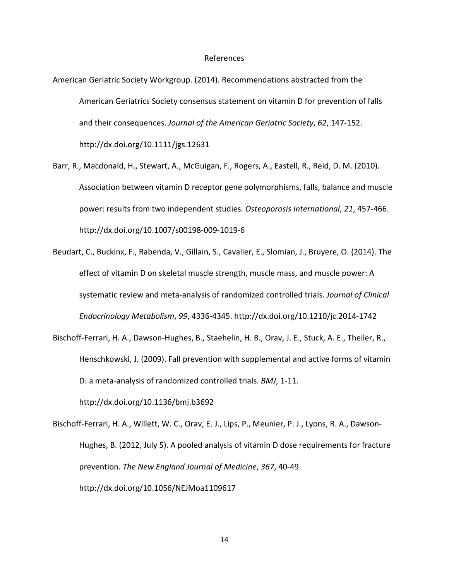#### References

- American Geriatric Society Workgroup. (2014). Recommendations abstracted from the American Geriatrics Society consensus statement on vitamin D for prevention of falls and their consequences. *Journal of the American Geriatric Society*, *62*, 147-152. http://dx.doi.org/10.1111/jgs.12631
- Barr, R., Macdonald, H., Stewart, A., McGuigan, F., Rogers, A., Eastell, R., Reid, D. M. (2010). Association between vitamin D receptor gene polymorphisms, falls, balance and muscle power: results from two independent studies. *Osteoporosis International*, *21*, 457-466. http://dx.doi.org/10.1007/s00198-009-1019-6
- Beudart, C., Buckinx, F., Rabenda, V., Gillain, S., Cavalier, E., Slomian, J., Bruyere, O. (2014). The effect of vitamin D on skeletal muscle strength, muscle mass, and muscle power: A systematic review and meta-analysis of randomized controlled trials. *Journal of Clinical Endocrinology Metabolism*, *99*, 4336-4345. http://dx.doi.org/10.1210/jc.2014-1742
- Bischoff-Ferrari, H. A., Dawson-Hughes, B., Staehelin, H. B., Orav, J. E., Stuck, A. E., Theiler, R., Henschkowski, J. (2009). Fall prevention with supplemental and active forms of vitamin D: a meta-analysis of randomized controlled trials. *BMJ*, 1-11.

http://dx.doi.org/10.1136/bmj.b3692

Bischoff-Ferrari, H. A., Willett, W. C., Orav, E. J., Lips, P., Meunier, P. J., Lyons, R. A., Dawson-Hughes, B. (2012, July 5). A pooled analysis of vitamin D dose requirements for fracture prevention. *The New England Journal of Medicine*, *367*, 40-49. http://dx.doi.org/10.1056/NEJMoa1109617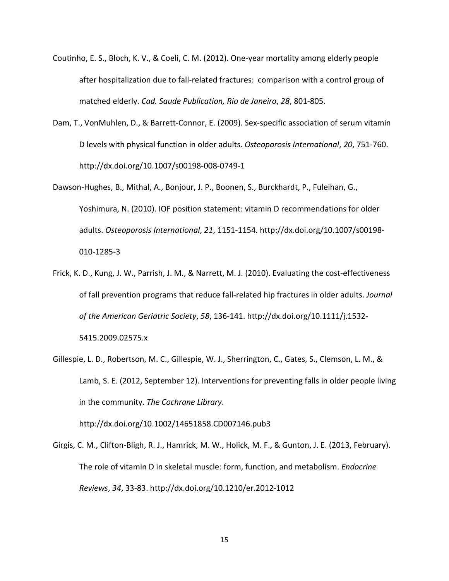- Coutinho, E. S., Bloch, K. V., & Coeli, C. M. (2012). One-year mortality among elderly people after hospitalization due to fall-related fractures: comparison with a control group of matched elderly. *Cad. Saude Publication, Rio de Janeiro*, *28*, 801-805.
- Dam, T., VonMuhlen, D., & Barrett-Connor, E. (2009). Sex-specific association of serum vitamin D levels with physical function in older adults. *Osteoporosis International*, *20*, 751-760. http://dx.doi.org/10.1007/s00198-008-0749-1
- Dawson-Hughes, B., Mithal, A., Bonjour, J. P., Boonen, S., Burckhardt, P., Fuleihan, G., Yoshimura, N. (2010). IOF position statement: vitamin D recommendations for older adults. *Osteoporosis International*, *21*, 1151-1154. http://dx.doi.org/10.1007/s00198- 010-1285-3
- Frick, K. D., Kung, J. W., Parrish, J. M., & Narrett, M. J. (2010). Evaluating the cost-effectiveness of fall prevention programs that reduce fall-related hip fractures in older adults. *Journal of the American Geriatric Society*, *58*, 136-141. http://dx.doi.org/10.1111/j.1532- 5415.2009.02575.x
- Gillespie, L. D., Robertson, M. C., Gillespie, W. J., Sherrington, C., Gates, S., Clemson, L. M., & Lamb, S. E. (2012, September 12). Interventions for preventing falls in older people living in the community. *The Cochrane Library*.

http://dx.doi.org/10.1002/14651858.CD007146.pub3

Girgis, C. M., Clifton-Bligh, R. J., Hamrick, M. W., Holick, M. F., & Gunton, J. E. (2013, February). The role of vitamin D in skeletal muscle: form, function, and metabolism. *Endocrine Reviews*, *34*, 33-83. http://dx.doi.org/10.1210/er.2012-1012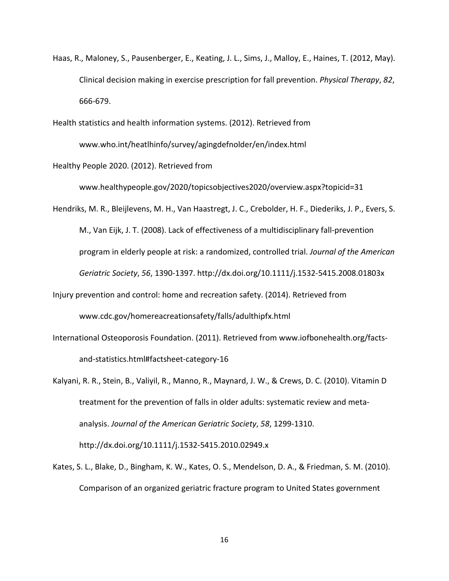Haas, R., Maloney, S., Pausenberger, E., Keating, J. L., Sims, J., Malloy, E., Haines, T. (2012, May). Clinical decision making in exercise prescription for fall prevention. *Physical Therapy*, *82*, 666-679.

Health statistics and health information systems. (2012). Retrieved from

www.who.int/heatlhinfo/survey/agingdefnolder/en/index.html

Healthy People 2020. (2012). Retrieved from

www.healthypeople.gov/2020/topicsobjectives2020/overview.aspx?topicid=31

Hendriks, M. R., Bleijlevens, M. H., Van Haastregt, J. C., Crebolder, H. F., Diederiks, J. P., Evers, S. M., Van Eijk, J. T. (2008). Lack of effectiveness of a multidisciplinary fall-prevention program in elderly people at risk: a randomized, controlled trial. *Journal of the American Geriatric Society*, *56*, 1390-1397. http://dx.doi.org/10.1111/j.1532-5415.2008.01803x

- Injury prevention and control: home and recreation safety. (2014). Retrieved from www.cdc.gov/homereacreationsafety/falls/adulthipfx.html
- International Osteoporosis Foundation. (2011). Retrieved from www.iofbonehealth.org/factsand-statistics.html#factsheet-category-16
- Kalyani, R. R., Stein, B., Valiyil, R., Manno, R., Maynard, J. W., & Crews, D. C. (2010). Vitamin D treatment for the prevention of falls in older adults: systematic review and metaanalysis. *Journal of the American Geriatric Society*, *58*, 1299-1310. http://dx.doi.org/10.1111/j.1532-5415.2010.02949.x
- Kates, S. L., Blake, D., Bingham, K. W., Kates, O. S., Mendelson, D. A., & Friedman, S. M. (2010). Comparison of an organized geriatric fracture program to United States government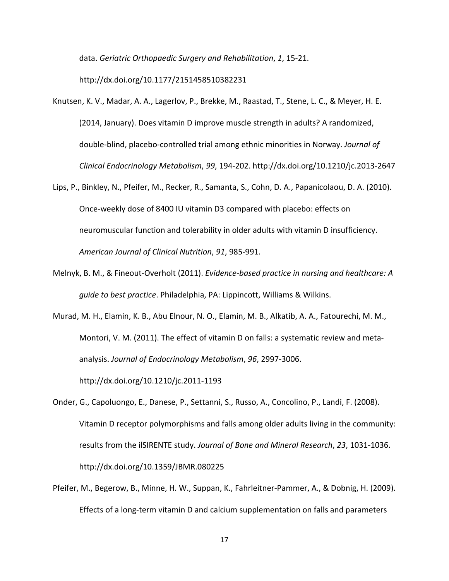data. *Geriatric Orthopaedic Surgery and Rehabilitation*, *1*, 15-21.

http://dx.doi.org/10.1177/2151458510382231

- Knutsen, K. V., Madar, A. A., Lagerlov, P., Brekke, M., Raastad, T., Stene, L. C., & Meyer, H. E. (2014, January). Does vitamin D improve muscle strength in adults? A randomized, double-blind, placebo-controlled trial among ethnic minorities in Norway. *Journal of Clinical Endocrinology Metabolism*, *99*, 194-202. http://dx.doi.org/10.1210/jc.2013-2647
- Lips, P., Binkley, N., Pfeifer, M., Recker, R., Samanta, S., Cohn, D. A., Papanicolaou, D. A. (2010). Once-weekly dose of 8400 IU vitamin D3 compared with placebo: effects on neuromuscular function and tolerability in older adults with vitamin D insufficiency. *American Journal of Clinical Nutrition*, *91*, 985-991.
- Melnyk, B. M., & Fineout-Overholt (2011). *Evidence-based practice in nursing and healthcare: A guide to best practice*. Philadelphia, PA: Lippincott, Williams & Wilkins.
- Murad, M. H., Elamin, K. B., Abu Elnour, N. O., Elamin, M. B., Alkatib, A. A., Fatourechi, M. M., Montori, V. M. (2011). The effect of vitamin D on falls: a systematic review and metaanalysis. *Journal of Endocrinology Metabolism*, *96*, 2997-3006. http://dx.doi.org/10.1210/jc.2011-1193
- Onder, G., Capoluongo, E., Danese, P., Settanni, S., Russo, A., Concolino, P., Landi, F. (2008). Vitamin D receptor polymorphisms and falls among older adults living in the community: results from the ilSIRENTE study. *Journal of Bone and Mineral Research*, *23*, 1031-1036. http://dx.doi.org/10.1359/JBMR.080225
- Pfeifer, M., Begerow, B., Minne, H. W., Suppan, K., Fahrleitner-Pammer, A., & Dobnig, H. (2009). Effects of a long-term vitamin D and calcium supplementation on falls and parameters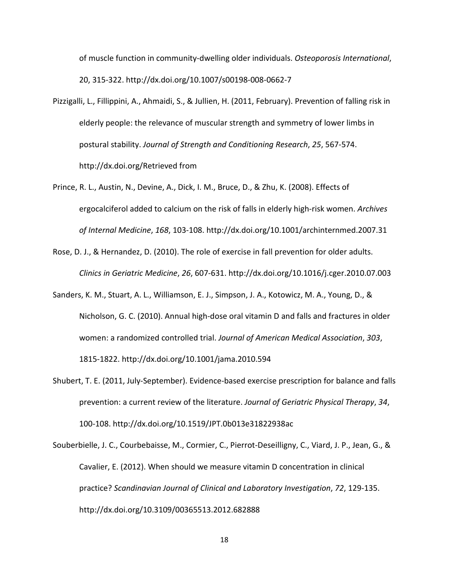of muscle function in community-dwelling older individuals. *Osteoporosis International*, 20, 315-322. http://dx.doi.org/10.1007/s00198-008-0662-7

- Pizzigalli, L., Fillippini, A., Ahmaidi, S., & Jullien, H. (2011, February). Prevention of falling risk in elderly people: the relevance of muscular strength and symmetry of lower limbs in postural stability. *Journal of Strength and Conditioning Research*, *25*, 567-574. http://dx.doi.org/Retrieved from
- Prince, R. L., Austin, N., Devine, A., Dick, I. M., Bruce, D., & Zhu, K. (2008). Effects of ergocalciferol added to calcium on the risk of falls in elderly high-risk women. *Archives of Internal Medicine*, *168*, 103-108. http://dx.doi.org/10.1001/archinternmed.2007.31
- Rose, D. J., & Hernandez, D. (2010). The role of exercise in fall prevention for older adults. *Clinics in Geriatric Medicine*, *26*, 607-631. http://dx.doi.org/10.1016/j.cger.2010.07.003
- Sanders, K. M., Stuart, A. L., Williamson, E. J., Simpson, J. A., Kotowicz, M. A., Young, D., & Nicholson, G. C. (2010). Annual high-dose oral vitamin D and falls and fractures in older women: a randomized controlled trial. *Journal of American Medical Association*, *303*, 1815-1822. http://dx.doi.org/10.1001/jama.2010.594
- Shubert, T. E. (2011, July-September). Evidence-based exercise prescription for balance and falls prevention: a current review of the literature. *Journal of Geriatric Physical Therapy*, *34*, 100-108. http://dx.doi.org/10.1519/JPT.0b013e31822938ac
- Souberbielle, J. C., Courbebaisse, M., Cormier, C., Pierrot-Deseilligny, C., Viard, J. P., Jean, G., & Cavalier, E. (2012). When should we measure vitamin D concentration in clinical practice? *Scandinavian Journal of Clinical and Laboratory Investigation*, *72*, 129-135. http://dx.doi.org/10.3109/00365513.2012.682888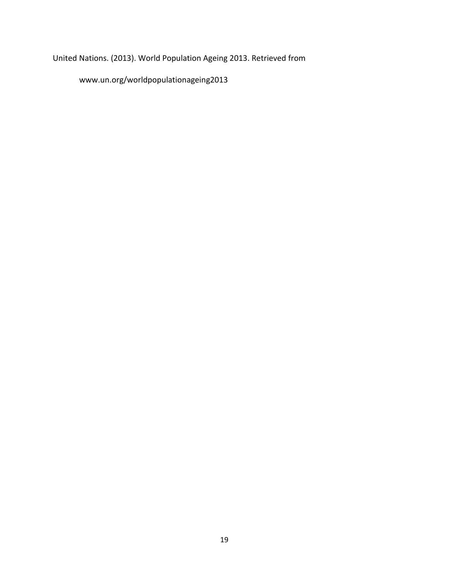United Nations. (2013). World Population Ageing 2013. Retrieved from

www.un.org/worldpopulationageing2013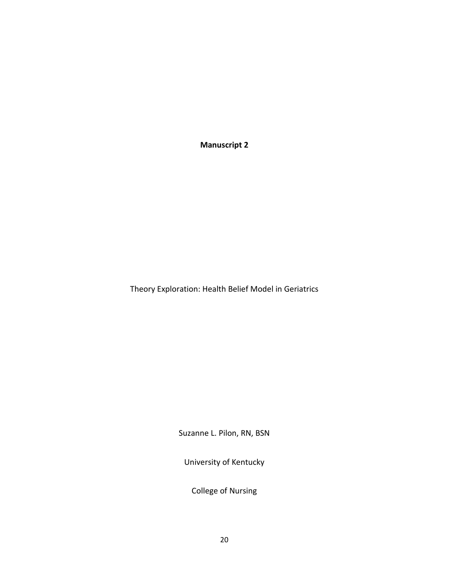**Manuscript 2**

Theory Exploration: Health Belief Model in Geriatrics

Suzanne L. Pilon, RN, BSN

University of Kentucky

College of Nursing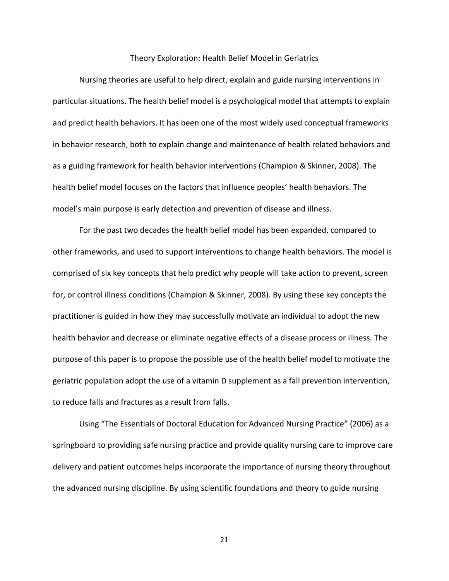#### Theory Exploration: Health Belief Model in Geriatrics

Nursing theories are useful to help direct, explain and guide nursing interventions in particular situations. The health belief model is a psychological model that attempts to explain and predict health behaviors. It has been one of the most widely used conceptual frameworks in behavior research, both to explain change and maintenance of health related behaviors and as a guiding framework for health behavior interventions (Champion & Skinner, 2008). The health belief model focuses on the factors that influence peoples' health behaviors. The model's main purpose is early detection and prevention of disease and illness.

For the past two decades the health belief model has been expanded, compared to other frameworks, and used to support interventions to change health behaviors. The model is comprised of six key concepts that help predict why people will take action to prevent, screen for, or control illness conditions (Champion & Skinner, 2008). By using these key concepts the practitioner is guided in how they may successfully motivate an individual to adopt the new health behavior and decrease or eliminate negative effects of a disease process or illness. The purpose of this paper is to propose the possible use of the health belief model to motivate the geriatric population adopt the use of a vitamin D supplement as a fall prevention intervention, to reduce falls and fractures as a result from falls.

Using "The Essentials of Doctoral Education for Advanced Nursing Practice" (2006) as a springboard to providing safe nursing practice and provide quality nursing care to improve care delivery and patient outcomes helps incorporate the importance of nursing theory throughout the advanced nursing discipline. By using scientific foundations and theory to guide nursing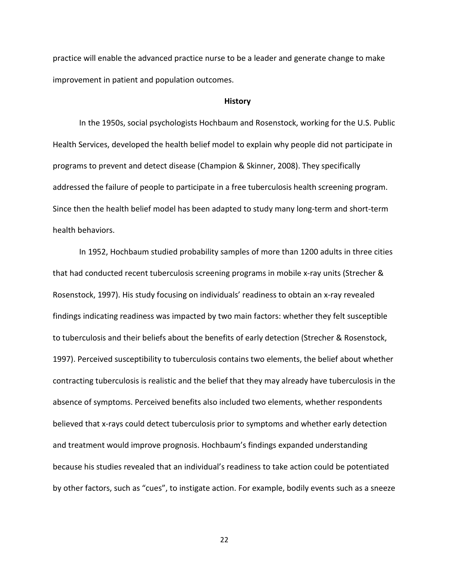practice will enable the advanced practice nurse to be a leader and generate change to make improvement in patient and population outcomes.

#### **History**

In the 1950s, social psychologists Hochbaum and Rosenstock, working for the U.S. Public Health Services, developed the health belief model to explain why people did not participate in programs to prevent and detect disease (Champion & Skinner, 2008). They specifically addressed the failure of people to participate in a free tuberculosis health screening program. Since then the health belief model has been adapted to study many long-term and short-term health behaviors.

In 1952, Hochbaum studied probability samples of more than 1200 adults in three cities that had conducted recent tuberculosis screening programs in mobile x-ray units (Strecher & Rosenstock, 1997). His study focusing on individuals' readiness to obtain an x-ray revealed findings indicating readiness was impacted by two main factors: whether they felt susceptible to tuberculosis and their beliefs about the benefits of early detection (Strecher & Rosenstock, 1997). Perceived susceptibility to tuberculosis contains two elements, the belief about whether contracting tuberculosis is realistic and the belief that they may already have tuberculosis in the absence of symptoms. Perceived benefits also included two elements, whether respondents believed that x-rays could detect tuberculosis prior to symptoms and whether early detection and treatment would improve prognosis. Hochbaum's findings expanded understanding because his studies revealed that an individual's readiness to take action could be potentiated by other factors, such as "cues", to instigate action. For example, bodily events such as a sneeze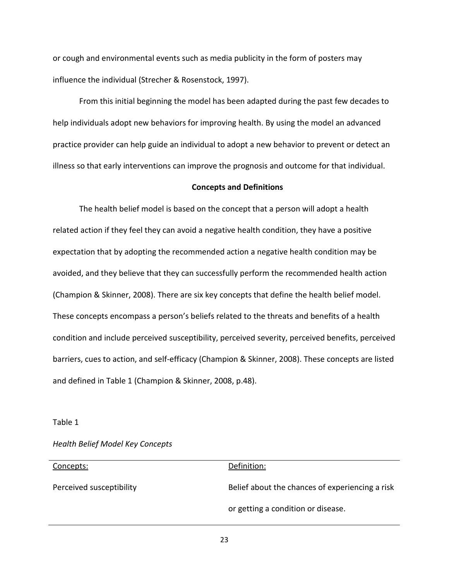or cough and environmental events such as media publicity in the form of posters may influence the individual (Strecher & Rosenstock, 1997).

From this initial beginning the model has been adapted during the past few decades to help individuals adopt new behaviors for improving health. By using the model an advanced practice provider can help guide an individual to adopt a new behavior to prevent or detect an illness so that early interventions can improve the prognosis and outcome for that individual.

#### **Concepts and Definitions**

The health belief model is based on the concept that a person will adopt a health related action if they feel they can avoid a negative health condition, they have a positive expectation that by adopting the recommended action a negative health condition may be avoided, and they believe that they can successfully perform the recommended health action (Champion & Skinner, 2008). There are six key concepts that define the health belief model. These concepts encompass a person's beliefs related to the threats and benefits of a health condition and include perceived susceptibility, perceived severity, perceived benefits, perceived barriers, cues to action, and self-efficacy (Champion & Skinner, 2008). These concepts are listed and defined in Table 1 (Champion & Skinner, 2008, p.48).

### Table 1

# *Health Belief Model Key Concepts*

| Concepts:                | Definition:                                     |
|--------------------------|-------------------------------------------------|
| Perceived susceptibility | Belief about the chances of experiencing a risk |
|                          | or getting a condition or disease.              |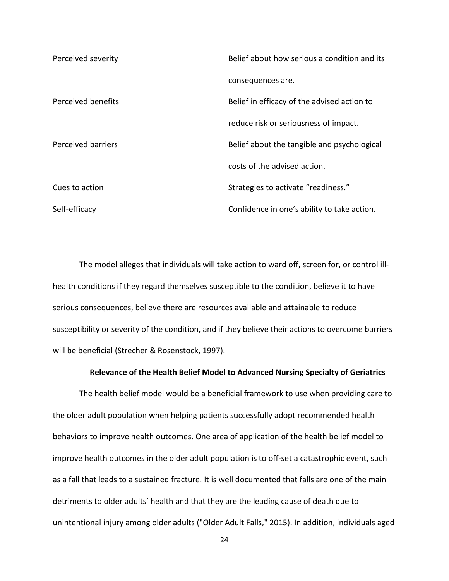| Perceived severity | Belief about how serious a condition and its |
|--------------------|----------------------------------------------|
|                    | consequences are.                            |
| Perceived benefits | Belief in efficacy of the advised action to  |
|                    | reduce risk or seriousness of impact.        |
| Perceived barriers | Belief about the tangible and psychological  |
|                    | costs of the advised action.                 |
| Cues to action     | Strategies to activate "readiness."          |
| Self-efficacy      | Confidence in one's ability to take action.  |

The model alleges that individuals will take action to ward off, screen for, or control illhealth conditions if they regard themselves susceptible to the condition, believe it to have serious consequences, believe there are resources available and attainable to reduce susceptibility or severity of the condition, and if they believe their actions to overcome barriers will be beneficial (Strecher & Rosenstock, 1997).

# **Relevance of the Health Belief Model to Advanced Nursing Specialty of Geriatrics**

The health belief model would be a beneficial framework to use when providing care to the older adult population when helping patients successfully adopt recommended health behaviors to improve health outcomes. One area of application of the health belief model to improve health outcomes in the older adult population is to off-set a catastrophic event, such as a fall that leads to a sustained fracture. It is well documented that falls are one of the main detriments to older adults' health and that they are the leading cause of death due to unintentional injury among older adults ("Older Adult Falls," 2015). In addition, individuals aged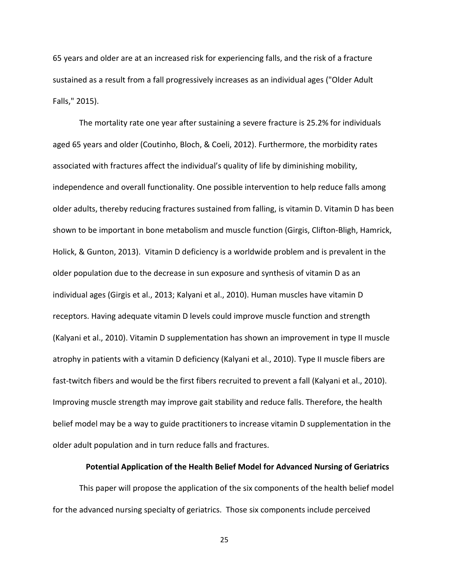65 years and older are at an increased risk for experiencing falls, and the risk of a fracture sustained as a result from a fall progressively increases as an individual ages ("Older Adult Falls," 2015).

The mortality rate one year after sustaining a severe fracture is 25.2% for individuals aged 65 years and older (Coutinho, Bloch, & Coeli, 2012). Furthermore, the morbidity rates associated with fractures affect the individual's quality of life by diminishing mobility, independence and overall functionality. One possible intervention to help reduce falls among older adults, thereby reducing fractures sustained from falling, is vitamin D. Vitamin D has been shown to be important in bone metabolism and muscle function (Girgis, Clifton-Bligh, Hamrick, Holick, & Gunton, 2013). Vitamin D deficiency is a worldwide problem and is prevalent in the older population due to the decrease in sun exposure and synthesis of vitamin D as an individual ages (Girgis et al., 2013; Kalyani et al., 2010). Human muscles have vitamin D receptors. Having adequate vitamin D levels could improve muscle function and strength (Kalyani et al., 2010). Vitamin D supplementation has shown an improvement in type II muscle atrophy in patients with a vitamin D deficiency (Kalyani et al., 2010). Type II muscle fibers are fast-twitch fibers and would be the first fibers recruited to prevent a fall (Kalyani et al., 2010). Improving muscle strength may improve gait stability and reduce falls. Therefore, the health belief model may be a way to guide practitioners to increase vitamin D supplementation in the older adult population and in turn reduce falls and fractures.

### **Potential Application of the Health Belief Model for Advanced Nursing of Geriatrics**

This paper will propose the application of the six components of the health belief model for the advanced nursing specialty of geriatrics. Those six components include perceived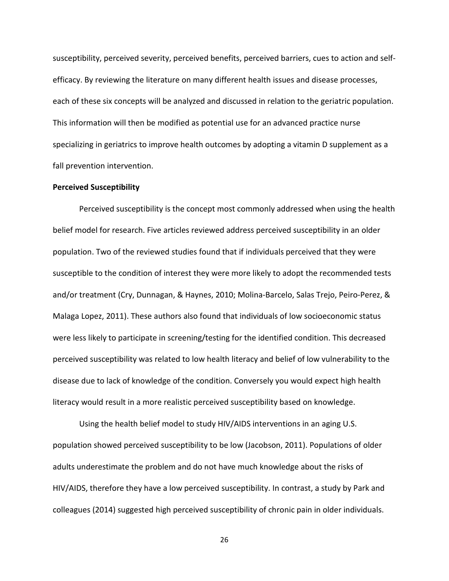susceptibility, perceived severity, perceived benefits, perceived barriers, cues to action and selfefficacy. By reviewing the literature on many different health issues and disease processes, each of these six concepts will be analyzed and discussed in relation to the geriatric population. This information will then be modified as potential use for an advanced practice nurse specializing in geriatrics to improve health outcomes by adopting a vitamin D supplement as a fall prevention intervention.

## **Perceived Susceptibility**

Perceived susceptibility is the concept most commonly addressed when using the health belief model for research. Five articles reviewed address perceived susceptibility in an older population. Two of the reviewed studies found that if individuals perceived that they were susceptible to the condition of interest they were more likely to adopt the recommended tests and/or treatment (Cry, Dunnagan, & Haynes, 2010; Molina-Barcelo, Salas Trejo, Peiro-Perez, & Malaga Lopez, 2011). These authors also found that individuals of low socioeconomic status were less likely to participate in screening/testing for the identified condition. This decreased perceived susceptibility was related to low health literacy and belief of low vulnerability to the disease due to lack of knowledge of the condition. Conversely you would expect high health literacy would result in a more realistic perceived susceptibility based on knowledge.

Using the health belief model to study HIV/AIDS interventions in an aging U.S. population showed perceived susceptibility to be low (Jacobson, 2011). Populations of older adults underestimate the problem and do not have much knowledge about the risks of HIV/AIDS, therefore they have a low perceived susceptibility. In contrast, a study by Park and colleagues (2014) suggested high perceived susceptibility of chronic pain in older individuals.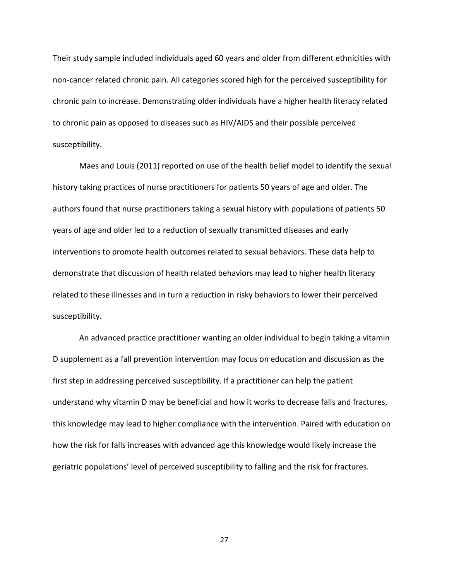Their study sample included individuals aged 60 years and older from different ethnicities with non-cancer related chronic pain. All categories scored high for the perceived susceptibility for chronic pain to increase. Demonstrating older individuals have a higher health literacy related to chronic pain as opposed to diseases such as HIV/AIDS and their possible perceived susceptibility.

Maes and Louis (2011) reported on use of the health belief model to identify the sexual history taking practices of nurse practitioners for patients 50 years of age and older. The authors found that nurse practitioners taking a sexual history with populations of patients 50 years of age and older led to a reduction of sexually transmitted diseases and early interventions to promote health outcomes related to sexual behaviors. These data help to demonstrate that discussion of health related behaviors may lead to higher health literacy related to these illnesses and in turn a reduction in risky behaviors to lower their perceived susceptibility.

An advanced practice practitioner wanting an older individual to begin taking a vitamin D supplement as a fall prevention intervention may focus on education and discussion as the first step in addressing perceived susceptibility. If a practitioner can help the patient understand why vitamin D may be beneficial and how it works to decrease falls and fractures, this knowledge may lead to higher compliance with the intervention. Paired with education on how the risk for falls increases with advanced age this knowledge would likely increase the geriatric populations' level of perceived susceptibility to falling and the risk for fractures.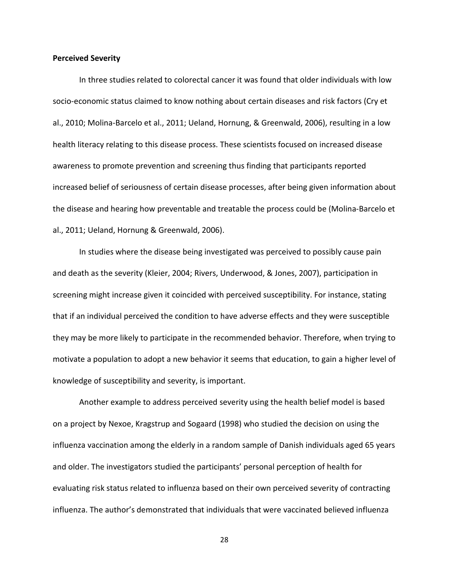#### **Perceived Severity**

In three studies related to colorectal cancer it was found that older individuals with low socio-economic status claimed to know nothing about certain diseases and risk factors (Cry et al., 2010; Molina-Barcelo et al., 2011; Ueland, Hornung, & Greenwald, 2006), resulting in a low health literacy relating to this disease process. These scientists focused on increased disease awareness to promote prevention and screening thus finding that participants reported increased belief of seriousness of certain disease processes, after being given information about the disease and hearing how preventable and treatable the process could be (Molina-Barcelo et al., 2011; Ueland, Hornung & Greenwald, 2006).

In studies where the disease being investigated was perceived to possibly cause pain and death as the severity (Kleier, 2004; Rivers, Underwood, & Jones, 2007), participation in screening might increase given it coincided with perceived susceptibility. For instance, stating that if an individual perceived the condition to have adverse effects and they were susceptible they may be more likely to participate in the recommended behavior. Therefore, when trying to motivate a population to adopt a new behavior it seems that education, to gain a higher level of knowledge of susceptibility and severity, is important.

Another example to address perceived severity using the health belief model is based on a project by Nexoe, Kragstrup and Sogaard (1998) who studied the decision on using the influenza vaccination among the elderly in a random sample of Danish individuals aged 65 years and older. The investigators studied the participants' personal perception of health for evaluating risk status related to influenza based on their own perceived severity of contracting influenza. The author's demonstrated that individuals that were vaccinated believed influenza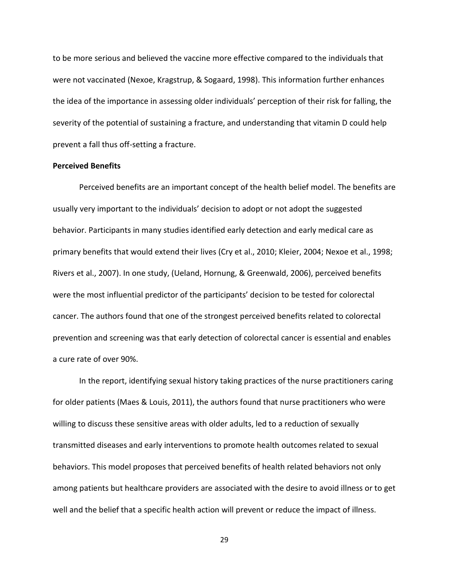to be more serious and believed the vaccine more effective compared to the individuals that were not vaccinated (Nexoe, Kragstrup, & Sogaard, 1998). This information further enhances the idea of the importance in assessing older individuals' perception of their risk for falling, the severity of the potential of sustaining a fracture, and understanding that vitamin D could help prevent a fall thus off-setting a fracture.

# **Perceived Benefits**

Perceived benefits are an important concept of the health belief model. The benefits are usually very important to the individuals' decision to adopt or not adopt the suggested behavior. Participants in many studies identified early detection and early medical care as primary benefits that would extend their lives (Cry et al., 2010; Kleier, 2004; Nexoe et al., 1998; Rivers et al., 2007). In one study, (Ueland, Hornung, & Greenwald, 2006), perceived benefits were the most influential predictor of the participants' decision to be tested for colorectal cancer. The authors found that one of the strongest perceived benefits related to colorectal prevention and screening was that early detection of colorectal cancer is essential and enables a cure rate of over 90%.

In the report, identifying sexual history taking practices of the nurse practitioners caring for older patients (Maes & Louis, 2011), the authors found that nurse practitioners who were willing to discuss these sensitive areas with older adults, led to a reduction of sexually transmitted diseases and early interventions to promote health outcomes related to sexual behaviors. This model proposes that perceived benefits of health related behaviors not only among patients but healthcare providers are associated with the desire to avoid illness or to get well and the belief that a specific health action will prevent or reduce the impact of illness.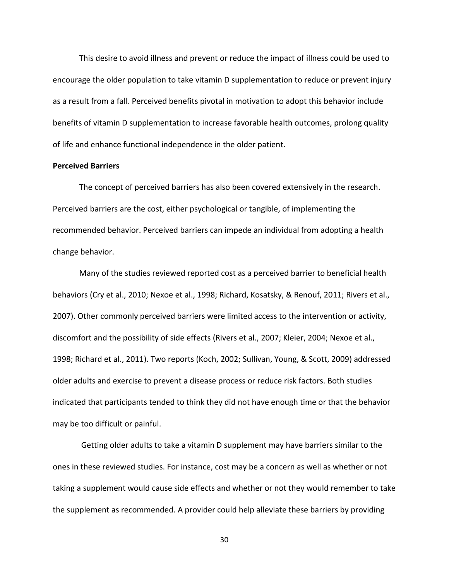This desire to avoid illness and prevent or reduce the impact of illness could be used to encourage the older population to take vitamin D supplementation to reduce or prevent injury as a result from a fall. Perceived benefits pivotal in motivation to adopt this behavior include benefits of vitamin D supplementation to increase favorable health outcomes, prolong quality of life and enhance functional independence in the older patient.

# **Perceived Barriers**

The concept of perceived barriers has also been covered extensively in the research. Perceived barriers are the cost, either psychological or tangible, of implementing the recommended behavior. Perceived barriers can impede an individual from adopting a health change behavior.

Many of the studies reviewed reported cost as a perceived barrier to beneficial health behaviors (Cry et al., 2010; Nexoe et al., 1998; Richard, Kosatsky, & Renouf, 2011; Rivers et al., 2007). Other commonly perceived barriers were limited access to the intervention or activity, discomfort and the possibility of side effects (Rivers et al., 2007; Kleier, 2004; Nexoe et al., 1998; Richard et al., 2011). Two reports (Koch, 2002; Sullivan, Young, & Scott, 2009) addressed older adults and exercise to prevent a disease process or reduce risk factors. Both studies indicated that participants tended to think they did not have enough time or that the behavior may be too difficult or painful.

Getting older adults to take a vitamin D supplement may have barriers similar to the ones in these reviewed studies. For instance, cost may be a concern as well as whether or not taking a supplement would cause side effects and whether or not they would remember to take the supplement as recommended. A provider could help alleviate these barriers by providing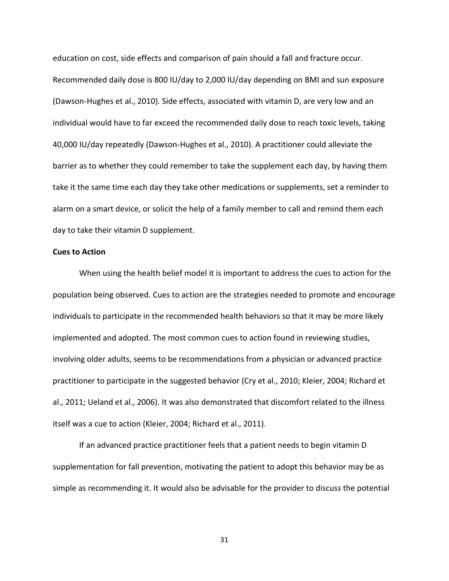education on cost, side effects and comparison of pain should a fall and fracture occur. Recommended daily dose is 800 IU/day to 2,000 IU/day depending on BMI and sun exposure (Dawson-Hughes et al., 2010). Side effects, associated with vitamin D, are very low and an individual would have to far exceed the recommended daily dose to reach toxic levels, taking 40,000 IU/day repeatedly (Dawson-Hughes et al., 2010). A practitioner could alleviate the barrier as to whether they could remember to take the supplement each day, by having them take it the same time each day they take other medications or supplements, set a reminder to alarm on a smart device, or solicit the help of a family member to call and remind them each day to take their vitamin D supplement.

# **Cues to Action**

When using the health belief model it is important to address the cues to action for the population being observed. Cues to action are the strategies needed to promote and encourage individuals to participate in the recommended health behaviors so that it may be more likely implemented and adopted. The most common cues to action found in reviewing studies, involving older adults, seems to be recommendations from a physician or advanced practice practitioner to participate in the suggested behavior (Cry et al., 2010; Kleier, 2004; Richard et al., 2011; Ueland et al., 2006). It was also demonstrated that discomfort related to the illness itself was a cue to action (Kleier, 2004; Richard et al., 2011).

If an advanced practice practitioner feels that a patient needs to begin vitamin D supplementation for fall prevention, motivating the patient to adopt this behavior may be as simple as recommending it. It would also be advisable for the provider to discuss the potential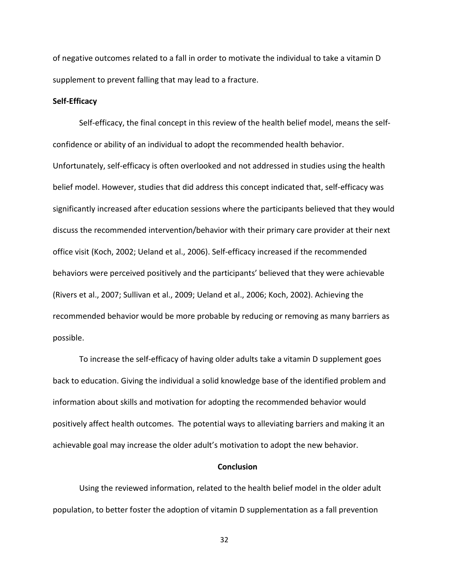of negative outcomes related to a fall in order to motivate the individual to take a vitamin D supplement to prevent falling that may lead to a fracture.

# **Self-Efficacy**

Self-efficacy, the final concept in this review of the health belief model, means the selfconfidence or ability of an individual to adopt the recommended health behavior. Unfortunately, self-efficacy is often overlooked and not addressed in studies using the health belief model. However, studies that did address this concept indicated that, self-efficacy was significantly increased after education sessions where the participants believed that they would discuss the recommended intervention/behavior with their primary care provider at their next office visit (Koch, 2002; Ueland et al., 2006). Self-efficacy increased if the recommended behaviors were perceived positively and the participants' believed that they were achievable (Rivers et al., 2007; Sullivan et al., 2009; Ueland et al., 2006; Koch, 2002). Achieving the recommended behavior would be more probable by reducing or removing as many barriers as possible.

To increase the self-efficacy of having older adults take a vitamin D supplement goes back to education. Giving the individual a solid knowledge base of the identified problem and information about skills and motivation for adopting the recommended behavior would positively affect health outcomes. The potential ways to alleviating barriers and making it an achievable goal may increase the older adult's motivation to adopt the new behavior.

### **Conclusion**

Using the reviewed information, related to the health belief model in the older adult population, to better foster the adoption of vitamin D supplementation as a fall prevention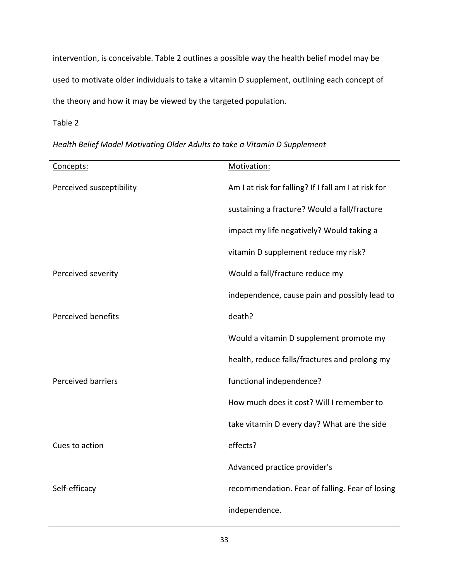intervention, is conceivable. Table 2 outlines a possible way the health belief model may be used to motivate older individuals to take a vitamin D supplement, outlining each concept of the theory and how it may be viewed by the targeted population.

Table 2

*Health Belief Model Motivating Older Adults to take a Vitamin D Supplement*

| Concepts:                 | Motivation:                                          |  |
|---------------------------|------------------------------------------------------|--|
| Perceived susceptibility  | Am I at risk for falling? If I fall am I at risk for |  |
|                           | sustaining a fracture? Would a fall/fracture         |  |
|                           | impact my life negatively? Would taking a            |  |
|                           | vitamin D supplement reduce my risk?                 |  |
| Perceived severity        | Would a fall/fracture reduce my                      |  |
|                           | independence, cause pain and possibly lead to        |  |
| <b>Perceived benefits</b> | death?                                               |  |
|                           | Would a vitamin D supplement promote my              |  |
|                           | health, reduce falls/fractures and prolong my        |  |
| <b>Perceived barriers</b> | functional independence?                             |  |
|                           | How much does it cost? Will I remember to            |  |
|                           | take vitamin D every day? What are the side          |  |
| Cues to action            | effects?                                             |  |
|                           | Advanced practice provider's                         |  |
| Self-efficacy             | recommendation. Fear of falling. Fear of losing      |  |
|                           | independence.                                        |  |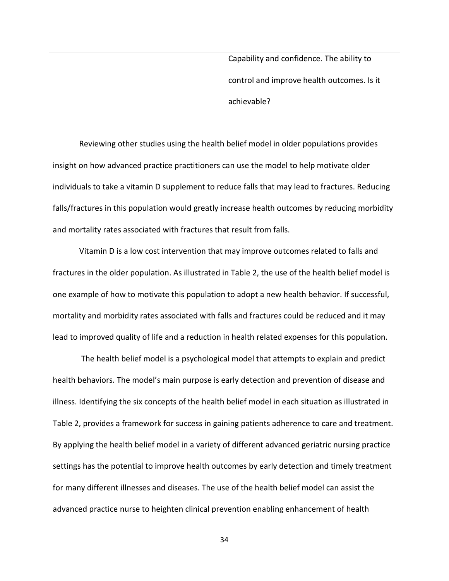Capability and confidence. The ability to control and improve health outcomes. Is it achievable?

Reviewing other studies using the health belief model in older populations provides insight on how advanced practice practitioners can use the model to help motivate older individuals to take a vitamin D supplement to reduce falls that may lead to fractures. Reducing falls/fractures in this population would greatly increase health outcomes by reducing morbidity and mortality rates associated with fractures that result from falls.

Vitamin D is a low cost intervention that may improve outcomes related to falls and fractures in the older population. As illustrated in Table 2, the use of the health belief model is one example of how to motivate this population to adopt a new health behavior. If successful, mortality and morbidity rates associated with falls and fractures could be reduced and it may lead to improved quality of life and a reduction in health related expenses for this population.

The health belief model is a psychological model that attempts to explain and predict health behaviors. The model's main purpose is early detection and prevention of disease and illness. Identifying the six concepts of the health belief model in each situation as illustrated in Table 2, provides a framework for success in gaining patients adherence to care and treatment. By applying the health belief model in a variety of different advanced geriatric nursing practice settings has the potential to improve health outcomes by early detection and timely treatment for many different illnesses and diseases. The use of the health belief model can assist the advanced practice nurse to heighten clinical prevention enabling enhancement of health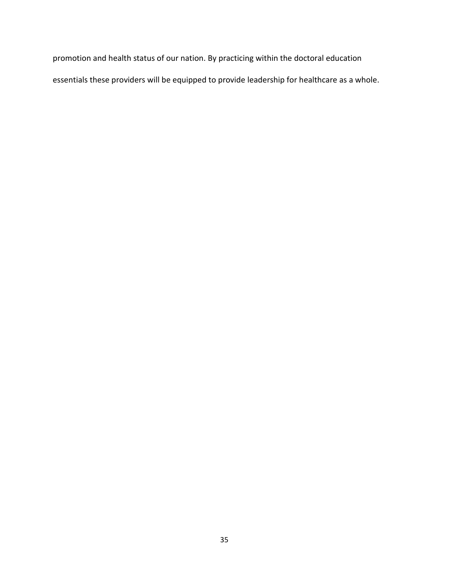promotion and health status of our nation. By practicing within the doctoral education essentials these providers will be equipped to provide leadership for healthcare as a whole.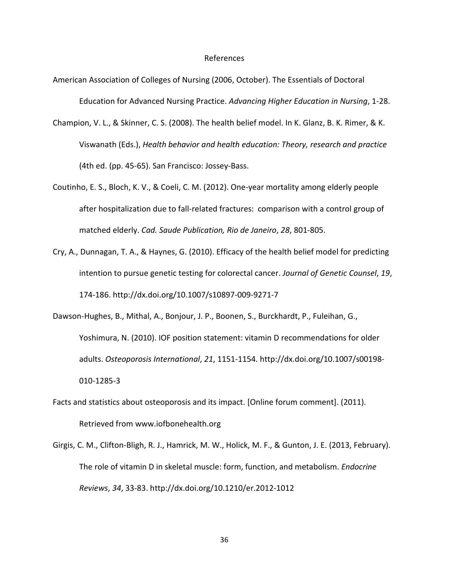### References

- American Association of Colleges of Nursing (2006, October). The Essentials of Doctoral Education for Advanced Nursing Practice. *Advancing Higher Education in Nursing*, 1-28.
- Champion, V. L., & Skinner, C. S. (2008). The health belief model. In K. Glanz, B. K. Rimer, & K. Viswanath (Eds.), *Health behavior and health education: Theory, research and practice*  (4th ed. (pp. 45-65). San Francisco: Jossey-Bass.
- Coutinho, E. S., Bloch, K. V., & Coeli, C. M. (2012). One-year mortality among elderly people after hospitalization due to fall-related fractures: comparison with a control group of matched elderly. *Cad. Saude Publication, Rio de Janeiro*, *28*, 801-805.
- Cry, A., Dunnagan, T. A., & Haynes, G. (2010). Efficacy of the health belief model for predicting intention to pursue genetic testing for colorectal cancer. *Journal of Genetic Counsel*, *19*, 174-186. http://dx.doi.org/10.1007/s10897-009-9271-7
- Dawson-Hughes, B., Mithal, A., Bonjour, J. P., Boonen, S., Burckhardt, P., Fuleihan, G., Yoshimura, N. (2010). IOF position statement: vitamin D recommendations for older adults. *Osteoporosis International*, *21*, 1151-1154. http://dx.doi.org/10.1007/s00198- 010-1285-3
- Facts and statistics about osteoporosis and its impact. [Online forum comment]. (2011). Retrieved from www.iofbonehealth.org
- Girgis, C. M., Clifton-Bligh, R. J., Hamrick, M. W., Holick, M. F., & Gunton, J. E. (2013, February). The role of vitamin D in skeletal muscle: form, function, and metabolism. *Endocrine Reviews*, *34*, 33-83. http://dx.doi.org/10.1210/er.2012-1012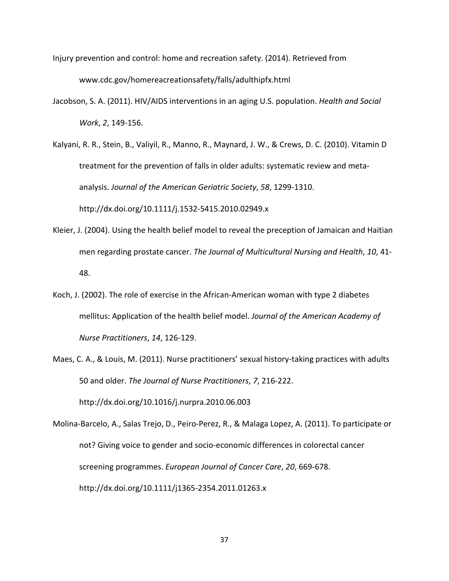- Injury prevention and control: home and recreation safety. (2014). Retrieved from www.cdc.gov/homereacreationsafety/falls/adulthipfx.html
- Jacobson, S. A. (2011). HIV/AIDS interventions in an aging U.S. population. *Health and Social Work*, *2*, 149-156.
- Kalyani, R. R., Stein, B., Valiyil, R., Manno, R., Maynard, J. W., & Crews, D. C. (2010). Vitamin D treatment for the prevention of falls in older adults: systematic review and metaanalysis. *Journal of the American Geriatric Society*, *58*, 1299-1310. http://dx.doi.org/10.1111/j.1532-5415.2010.02949.x
- Kleier, J. (2004). Using the health belief model to reveal the preception of Jamaican and Haitian men regarding prostate cancer. *The Journal of Multicultural Nursing and Health*, *10*, 41- 48.
- Koch, J. (2002). The role of exercise in the African-American woman with type 2 diabetes mellitus: Application of the health belief model. *Journal of the American Academy of Nurse Practitioners*, *14*, 126-129.
- Maes, C. A., & Louis, M. (2011). Nurse practitioners' sexual history-taking practices with adults 50 and older. *The Journal of Nurse Practitioners*, *7*, 216-222. http://dx.doi.org/10.1016/j.nurpra.2010.06.003

Molina-Barcelo, A., Salas Trejo, D., Peiro-Perez, R., & Malaga Lopez, A. (2011). To participate or not? Giving voice to gender and socio-economic differences in colorectal cancer screening programmes. *European Journal of Cancer Care*, *20*, 669-678. http://dx.doi.org/10.1111/j1365-2354.2011.01263.x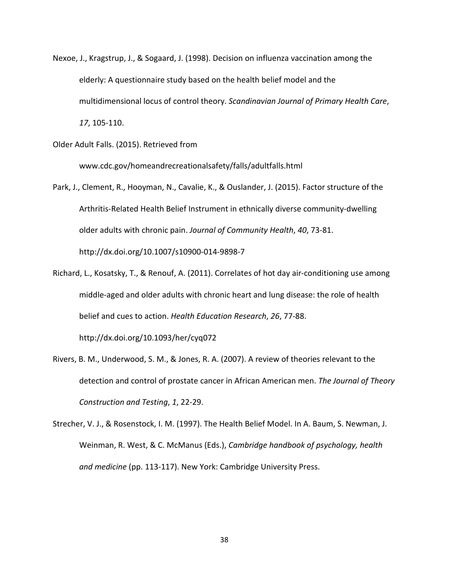Nexoe, J., Kragstrup, J., & Sogaard, J. (1998). Decision on influenza vaccination among the elderly: A questionnaire study based on the health belief model and the multidimensional locus of control theory. *Scandinavian Journal of Primary Health Care*, *17*, 105-110.

Older Adult Falls. (2015). Retrieved from

www.cdc.gov/homeandrecreationalsafety/falls/adultfalls.html

- Park, J., Clement, R., Hooyman, N., Cavalie, K., & Ouslander, J. (2015). Factor structure of the Arthritis-Related Health Belief Instrument in ethnically diverse community-dwelling older adults with chronic pain. *Journal of Community Health*, *40*, 73-81. http://dx.doi.org/10.1007/s10900-014-9898-7
- Richard, L., Kosatsky, T., & Renouf, A. (2011). Correlates of hot day air-conditioning use among middle-aged and older adults with chronic heart and lung disease: the role of health belief and cues to action. *Health Education Research*, *26*, 77-88. http://dx.doi.org/10.1093/her/cyq072
- Rivers, B. M., Underwood, S. M., & Jones, R. A. (2007). A review of theories relevant to the detection and control of prostate cancer in African American men. *The Journal of Theory Construction and Testing*, *1*, 22-29.
- Strecher, V. J., & Rosenstock, I. M. (1997). The Health Belief Model. In A. Baum, S. Newman, J. Weinman, R. West, & C. McManus (Eds.), *Cambridge handbook of psychology, health and medicine* (pp. 113-117). New York: Cambridge University Press.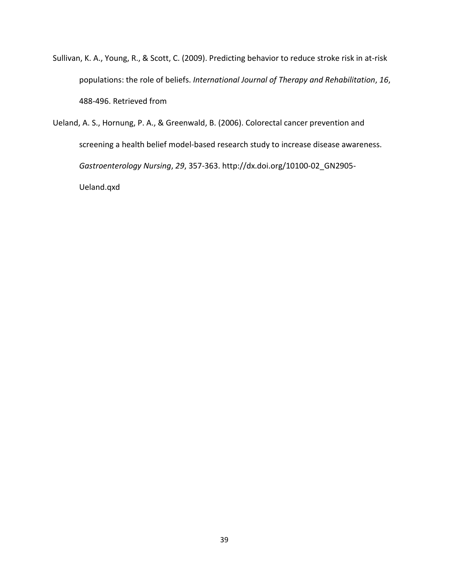- Sullivan, K. A., Young, R., & Scott, C. (2009). Predicting behavior to reduce stroke risk in at-risk populations: the role of beliefs. *International Journal of Therapy and Rehabilitation*, *16*, 488-496. Retrieved from
- Ueland, A. S., Hornung, P. A., & Greenwald, B. (2006). Colorectal cancer prevention and screening a health belief model-based research study to increase disease awareness. *Gastroenterology Nursing*, *29*, 357-363. http://dx.doi.org/10100-02\_GN2905- Ueland.qxd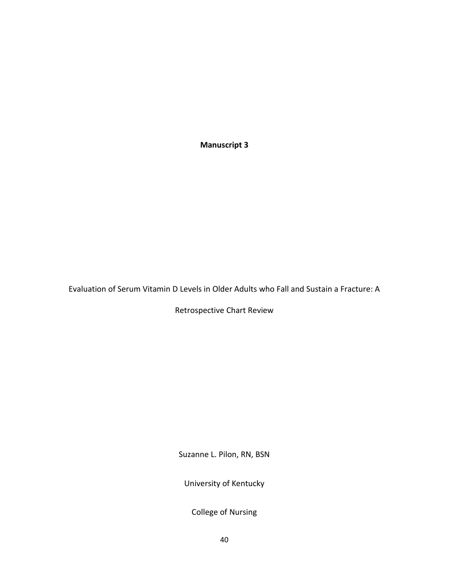**Manuscript 3**

Evaluation of Serum Vitamin D Levels in Older Adults who Fall and Sustain a Fracture: A

Retrospective Chart Review

Suzanne L. Pilon, RN, BSN

University of Kentucky

College of Nursing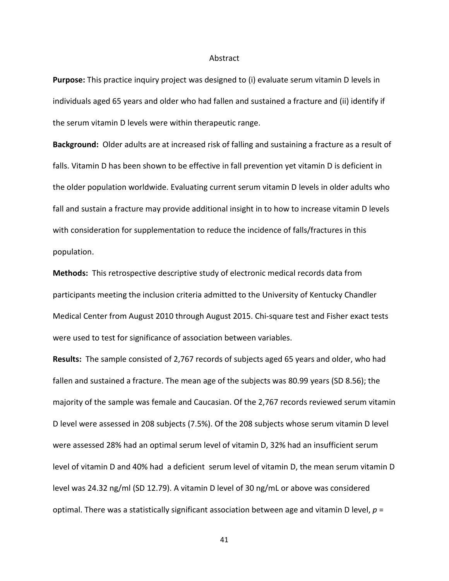#### Abstract

**Purpose:** This practice inquiry project was designed to (i) evaluate serum vitamin D levels in individuals aged 65 years and older who had fallen and sustained a fracture and (ii) identify if the serum vitamin D levels were within therapeutic range.

**Background:** Older adults are at increased risk of falling and sustaining a fracture as a result of falls. Vitamin D has been shown to be effective in fall prevention yet vitamin D is deficient in the older population worldwide. Evaluating current serum vitamin D levels in older adults who fall and sustain a fracture may provide additional insight in to how to increase vitamin D levels with consideration for supplementation to reduce the incidence of falls/fractures in this population.

**Methods:** This retrospective descriptive study of electronic medical records data from participants meeting the inclusion criteria admitted to the University of Kentucky Chandler Medical Center from August 2010 through August 2015. Chi-square test and Fisher exact tests were used to test for significance of association between variables.

**Results:** The sample consisted of 2,767 records of subjects aged 65 years and older, who had fallen and sustained a fracture. The mean age of the subjects was 80.99 years (SD 8.56); the majority of the sample was female and Caucasian. Of the 2,767 records reviewed serum vitamin D level were assessed in 208 subjects (7.5%). Of the 208 subjects whose serum vitamin D level were assessed 28% had an optimal serum level of vitamin D, 32% had an insufficient serum level of vitamin D and 40% had a deficient serum level of vitamin D, the mean serum vitamin D level was 24.32 ng/ml (SD 12.79). A vitamin D level of 30 ng/mL or above was considered optimal. There was a statistically significant association between age and vitamin D level, *p* =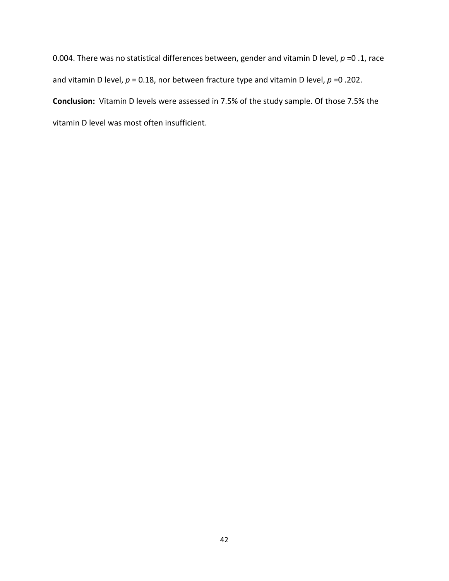0.004. There was no statistical differences between, gender and vitamin D level, *p* =0 .1, race and vitamin D level,  $p = 0.18$ , nor between fracture type and vitamin D level,  $p = 0.202$ . **Conclusion:** Vitamin D levels were assessed in 7.5% of the study sample. Of those 7.5% the vitamin D level was most often insufficient.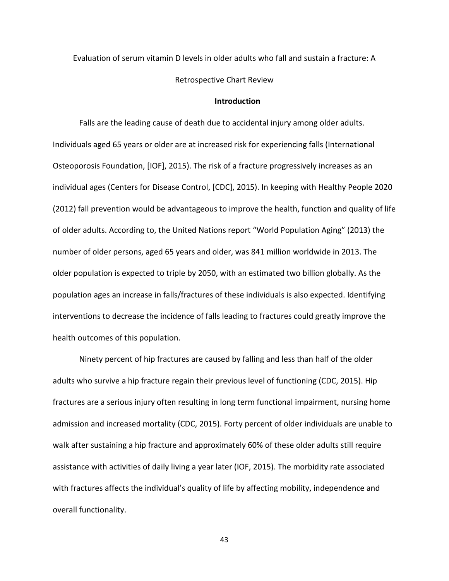Evaluation of serum vitamin D levels in older adults who fall and sustain a fracture: A

#### Retrospective Chart Review

## **Introduction**

Falls are the leading cause of death due to accidental injury among older adults. Individuals aged 65 years or older are at increased risk for experiencing falls (International Osteoporosis Foundation, [IOF], 2015). The risk of a fracture progressively increases as an individual ages (Centers for Disease Control, [CDC], 2015). In keeping with Healthy People 2020 (2012) fall prevention would be advantageous to improve the health, function and quality of life of older adults. According to, the United Nations report "World Population Aging" (2013) the number of older persons, aged 65 years and older, was 841 million worldwide in 2013. The older population is expected to triple by 2050, with an estimated two billion globally. As the population ages an increase in falls/fractures of these individuals is also expected. Identifying interventions to decrease the incidence of falls leading to fractures could greatly improve the health outcomes of this population.

Ninety percent of hip fractures are caused by falling and less than half of the older adults who survive a hip fracture regain their previous level of functioning (CDC, 2015). Hip fractures are a serious injury often resulting in long term functional impairment, nursing home admission and increased mortality (CDC, 2015). Forty percent of older individuals are unable to walk after sustaining a hip fracture and approximately 60% of these older adults still require assistance with activities of daily living a year later (IOF, 2015). The morbidity rate associated with fractures affects the individual's quality of life by affecting mobility, independence and overall functionality.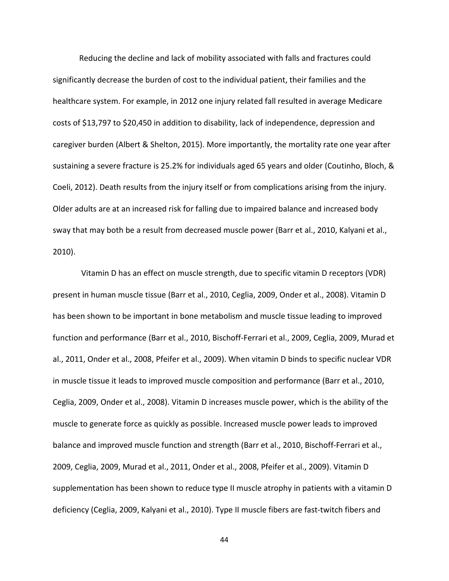Reducing the decline and lack of mobility associated with falls and fractures could significantly decrease the burden of cost to the individual patient, their families and the healthcare system. For example, in 2012 one injury related fall resulted in average Medicare costs of \$13,797 to \$20,450 in addition to disability, lack of independence, depression and caregiver burden (Albert & Shelton, 2015). More importantly, the mortality rate one year after sustaining a severe fracture is 25.2% for individuals aged 65 years and older (Coutinho, Bloch, & Coeli, 2012). Death results from the injury itself or from complications arising from the injury. Older adults are at an increased risk for falling due to impaired balance and increased body sway that may both be a result from decreased muscle power (Barr et al., 2010, Kalyani et al., 2010).

Vitamin D has an effect on muscle strength, due to specific vitamin D receptors (VDR) present in human muscle tissue (Barr et al., 2010, Ceglia, 2009, Onder et al., 2008). Vitamin D has been shown to be important in bone metabolism and muscle tissue leading to improved function and performance (Barr et al., 2010, Bischoff-Ferrari et al., 2009, Ceglia, 2009, Murad et al., 2011, Onder et al., 2008, Pfeifer et al., 2009). When vitamin D binds to specific nuclear VDR in muscle tissue it leads to improved muscle composition and performance (Barr et al., 2010, Ceglia, 2009, Onder et al., 2008). Vitamin D increases muscle power, which is the ability of the muscle to generate force as quickly as possible. Increased muscle power leads to improved balance and improved muscle function and strength (Barr et al., 2010, Bischoff-Ferrari et al., 2009, Ceglia, 2009, Murad et al., 2011, Onder et al., 2008, Pfeifer et al., 2009). Vitamin D supplementation has been shown to reduce type II muscle atrophy in patients with a vitamin D deficiency (Ceglia, 2009, Kalyani et al., 2010). Type II muscle fibers are fast-twitch fibers and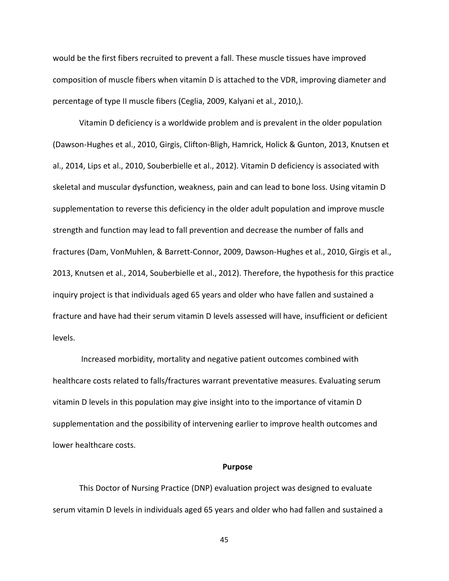would be the first fibers recruited to prevent a fall. These muscle tissues have improved composition of muscle fibers when vitamin D is attached to the VDR, improving diameter and percentage of type II muscle fibers (Ceglia, 2009, Kalyani et al., 2010,).

Vitamin D deficiency is a worldwide problem and is prevalent in the older population (Dawson-Hughes et al., 2010, Girgis, Clifton-Bligh, Hamrick, Holick & Gunton, 2013, Knutsen et al., 2014, Lips et al., 2010, Souberbielle et al., 2012). Vitamin D deficiency is associated with skeletal and muscular dysfunction, weakness, pain and can lead to bone loss. Using vitamin D supplementation to reverse this deficiency in the older adult population and improve muscle strength and function may lead to fall prevention and decrease the number of falls and fractures (Dam, VonMuhlen, & Barrett-Connor, 2009, Dawson-Hughes et al., 2010, Girgis et al., 2013, Knutsen et al., 2014, Souberbielle et al., 2012). Therefore, the hypothesis for this practice inquiry project is that individuals aged 65 years and older who have fallen and sustained a fracture and have had their serum vitamin D levels assessed will have, insufficient or deficient levels.

Increased morbidity, mortality and negative patient outcomes combined with healthcare costs related to falls/fractures warrant preventative measures. Evaluating serum vitamin D levels in this population may give insight into to the importance of vitamin D supplementation and the possibility of intervening earlier to improve health outcomes and lower healthcare costs.

#### **Purpose**

This Doctor of Nursing Practice (DNP) evaluation project was designed to evaluate serum vitamin D levels in individuals aged 65 years and older who had fallen and sustained a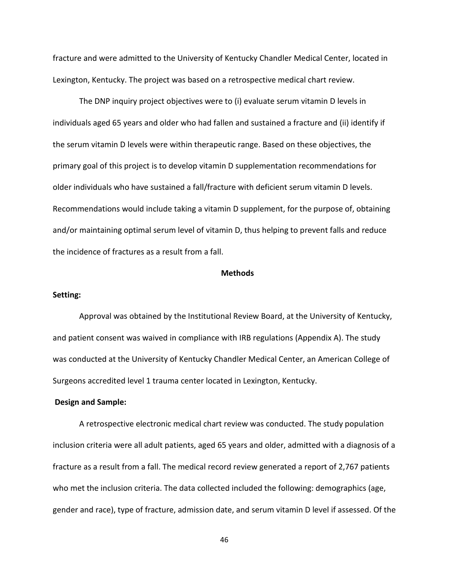fracture and were admitted to the University of Kentucky Chandler Medical Center, located in Lexington, Kentucky. The project was based on a retrospective medical chart review.

The DNP inquiry project objectives were to (i) evaluate serum vitamin D levels in individuals aged 65 years and older who had fallen and sustained a fracture and (ii) identify if the serum vitamin D levels were within therapeutic range. Based on these objectives, the primary goal of this project is to develop vitamin D supplementation recommendations for older individuals who have sustained a fall/fracture with deficient serum vitamin D levels. Recommendations would include taking a vitamin D supplement, for the purpose of, obtaining and/or maintaining optimal serum level of vitamin D, thus helping to prevent falls and reduce the incidence of fractures as a result from a fall.

#### **Methods**

# **Setting:**

Approval was obtained by the Institutional Review Board, at the University of Kentucky, and patient consent was waived in compliance with IRB regulations (Appendix A). The study was conducted at the University of Kentucky Chandler Medical Center, an American College of Surgeons accredited level 1 trauma center located in Lexington, Kentucky.

### **Design and Sample:**

A retrospective electronic medical chart review was conducted. The study population inclusion criteria were all adult patients, aged 65 years and older, admitted with a diagnosis of a fracture as a result from a fall. The medical record review generated a report of 2,767 patients who met the inclusion criteria. The data collected included the following: demographics (age, gender and race), type of fracture, admission date, and serum vitamin D level if assessed. Of the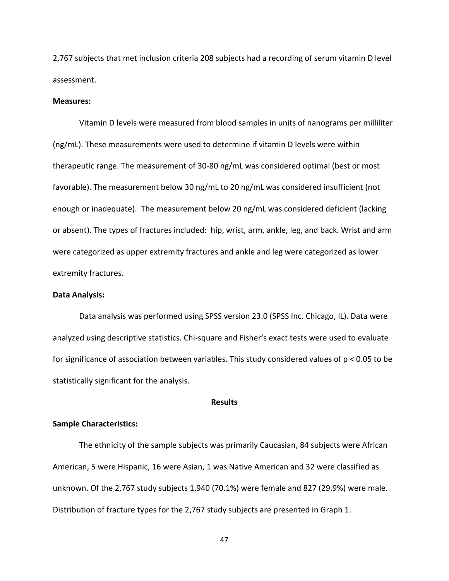2,767 subjects that met inclusion criteria 208 subjects had a recording of serum vitamin D level assessment.

### **Measures:**

Vitamin D levels were measured from blood samples in units of nanograms per milliliter (ng/mL). These measurements were used to determine if vitamin D levels were within therapeutic range. The measurement of 30-80 ng/mL was considered optimal (best or most favorable). The measurement below 30 ng/mL to 20 ng/mL was considered insufficient (not enough or inadequate). The measurement below 20 ng/mL was considered deficient (lacking or absent). The types of fractures included: hip, wrist, arm, ankle, leg, and back. Wrist and arm were categorized as upper extremity fractures and ankle and leg were categorized as lower extremity fractures.

# **Data Analysis:**

Data analysis was performed using SPSS version 23.0 (SPSS Inc. Chicago, IL). Data were analyzed using descriptive statistics. Chi-square and Fisher's exact tests were used to evaluate for significance of association between variables. This study considered values of p < 0.05 to be statistically significant for the analysis.

## **Results**

# **Sample Characteristics:**

The ethnicity of the sample subjects was primarily Caucasian, 84 subjects were African American, 5 were Hispanic, 16 were Asian, 1 was Native American and 32 were classified as unknown. Of the 2,767 study subjects 1,940 (70.1%) were female and 827 (29.9%) were male. Distribution of fracture types for the 2,767 study subjects are presented in Graph 1.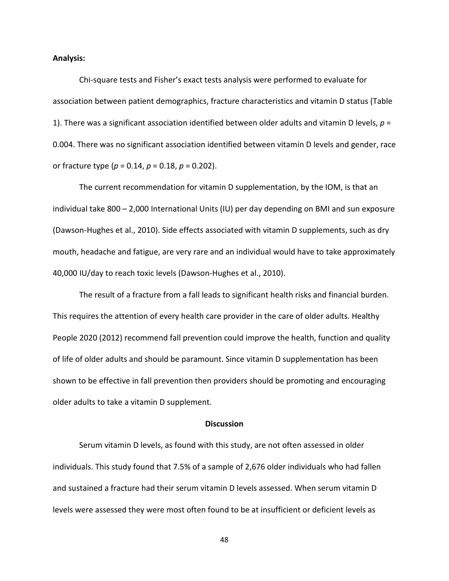### **Analysis:**

Chi-square tests and Fisher's exact tests analysis were performed to evaluate for association between patient demographics, fracture characteristics and vitamin D status (Table 1). There was a significant association identified between older adults and vitamin D levels,  $p =$ 0.004. There was no significant association identified between vitamin D levels and gender, race or fracture type (*p* = 0.14, *p* = 0.18, *p* = 0.202).

The current recommendation for vitamin D supplementation, by the IOM, is that an individual take 800 – 2,000 International Units (IU) per day depending on BMI and sun exposure (Dawson-Hughes et al., 2010). Side effects associated with vitamin D supplements, such as dry mouth, headache and fatigue, are very rare and an individual would have to take approximately 40,000 IU/day to reach toxic levels (Dawson-Hughes et al., 2010).

The result of a fracture from a fall leads to significant health risks and financial burden. This requires the attention of every health care provider in the care of older adults. Healthy People 2020 (2012) recommend fall prevention could improve the health, function and quality of life of older adults and should be paramount. Since vitamin D supplementation has been shown to be effective in fall prevention then providers should be promoting and encouraging older adults to take a vitamin D supplement.

#### **Discussion**

Serum vitamin D levels, as found with this study, are not often assessed in older individuals. This study found that 7.5% of a sample of 2,676 older individuals who had fallen and sustained a fracture had their serum vitamin D levels assessed. When serum vitamin D levels were assessed they were most often found to be at insufficient or deficient levels as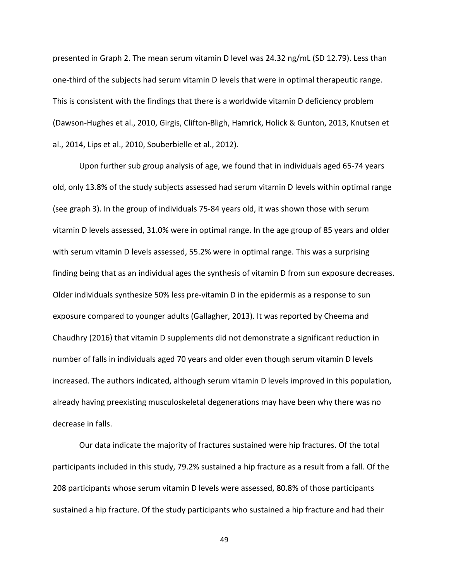presented in Graph 2. The mean serum vitamin D level was 24.32 ng/mL (SD 12.79). Less than one-third of the subjects had serum vitamin D levels that were in optimal therapeutic range. This is consistent with the findings that there is a worldwide vitamin D deficiency problem (Dawson-Hughes et al., 2010, Girgis, Clifton-Bligh, Hamrick, Holick & Gunton, 2013, Knutsen et al., 2014, Lips et al., 2010, Souberbielle et al., 2012).

Upon further sub group analysis of age, we found that in individuals aged 65-74 years old, only 13.8% of the study subjects assessed had serum vitamin D levels within optimal range (see graph 3). In the group of individuals 75-84 years old, it was shown those with serum vitamin D levels assessed, 31.0% were in optimal range. In the age group of 85 years and older with serum vitamin D levels assessed, 55.2% were in optimal range. This was a surprising finding being that as an individual ages the synthesis of vitamin D from sun exposure decreases. Older individuals synthesize 50% less pre-vitamin D in the epidermis as a response to sun exposure compared to younger adults (Gallagher, 2013). It was reported by Cheema and Chaudhry (2016) that vitamin D supplements did not demonstrate a significant reduction in number of falls in individuals aged 70 years and older even though serum vitamin D levels increased. The authors indicated, although serum vitamin D levels improved in this population, already having preexisting musculoskeletal degenerations may have been why there was no decrease in falls.

Our data indicate the majority of fractures sustained were hip fractures. Of the total participants included in this study, 79.2% sustained a hip fracture as a result from a fall. Of the 208 participants whose serum vitamin D levels were assessed, 80.8% of those participants sustained a hip fracture. Of the study participants who sustained a hip fracture and had their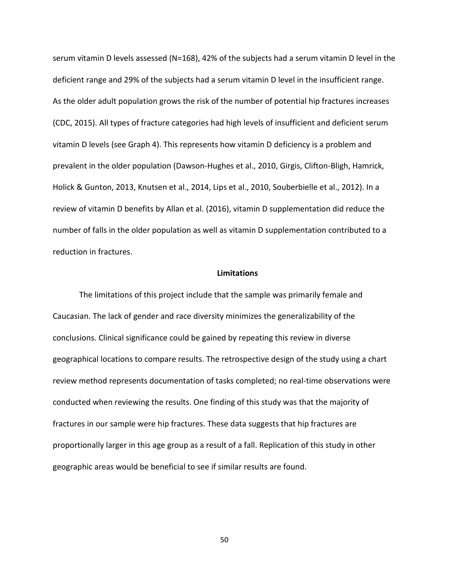serum vitamin D levels assessed (N=168), 42% of the subjects had a serum vitamin D level in the deficient range and 29% of the subjects had a serum vitamin D level in the insufficient range. As the older adult population grows the risk of the number of potential hip fractures increases (CDC, 2015). All types of fracture categories had high levels of insufficient and deficient serum vitamin D levels (see Graph 4). This represents how vitamin D deficiency is a problem and prevalent in the older population (Dawson-Hughes et al., 2010, Girgis, Clifton-Bligh, Hamrick, Holick & Gunton, 2013, Knutsen et al., 2014, Lips et al., 2010, Souberbielle et al., 2012). In a review of vitamin D benefits by Allan et al. (2016), vitamin D supplementation did reduce the number of falls in the older population as well as vitamin D supplementation contributed to a reduction in fractures.

#### **Limitations**

The limitations of this project include that the sample was primarily female and Caucasian. The lack of gender and race diversity minimizes the generalizability of the conclusions. Clinical significance could be gained by repeating this review in diverse geographical locations to compare results. The retrospective design of the study using a chart review method represents documentation of tasks completed; no real-time observations were conducted when reviewing the results. One finding of this study was that the majority of fractures in our sample were hip fractures. These data suggests that hip fractures are proportionally larger in this age group as a result of a fall. Replication of this study in other geographic areas would be beneficial to see if similar results are found.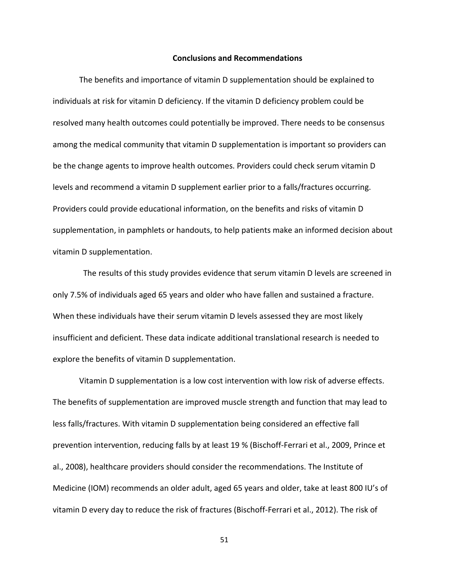#### **Conclusions and Recommendations**

The benefits and importance of vitamin D supplementation should be explained to individuals at risk for vitamin D deficiency. If the vitamin D deficiency problem could be resolved many health outcomes could potentially be improved. There needs to be consensus among the medical community that vitamin D supplementation is important so providers can be the change agents to improve health outcomes. Providers could check serum vitamin D levels and recommend a vitamin D supplement earlier prior to a falls/fractures occurring. Providers could provide educational information, on the benefits and risks of vitamin D supplementation, in pamphlets or handouts, to help patients make an informed decision about vitamin D supplementation.

 The results of this study provides evidence that serum vitamin D levels are screened in only 7.5% of individuals aged 65 years and older who have fallen and sustained a fracture. When these individuals have their serum vitamin D levels assessed they are most likely insufficient and deficient. These data indicate additional translational research is needed to explore the benefits of vitamin D supplementation.

Vitamin D supplementation is a low cost intervention with low risk of adverse effects. The benefits of supplementation are improved muscle strength and function that may lead to less falls/fractures. With vitamin D supplementation being considered an effective fall prevention intervention, reducing falls by at least 19 % (Bischoff-Ferrari et al., 2009, Prince et al., 2008), healthcare providers should consider the recommendations. The Institute of Medicine (IOM) recommends an older adult, aged 65 years and older, take at least 800 IU's of vitamin D every day to reduce the risk of fractures (Bischoff-Ferrari et al., 2012). The risk of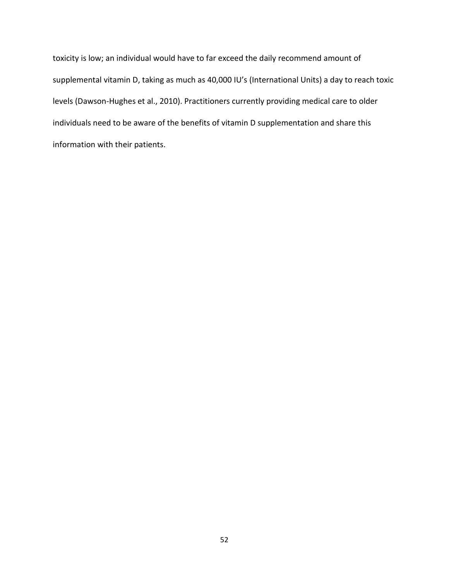toxicity is low; an individual would have to far exceed the daily recommend amount of supplemental vitamin D, taking as much as 40,000 IU's (International Units) a day to reach toxic levels (Dawson-Hughes et al., 2010). Practitioners currently providing medical care to older individuals need to be aware of the benefits of vitamin D supplementation and share this information with their patients.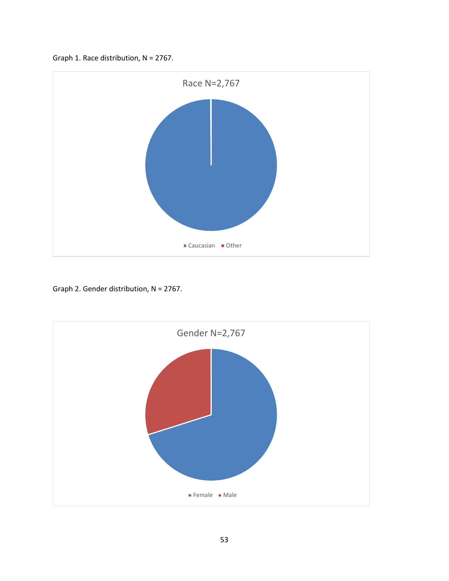



Graph 2. Gender distribution, N = 2767.

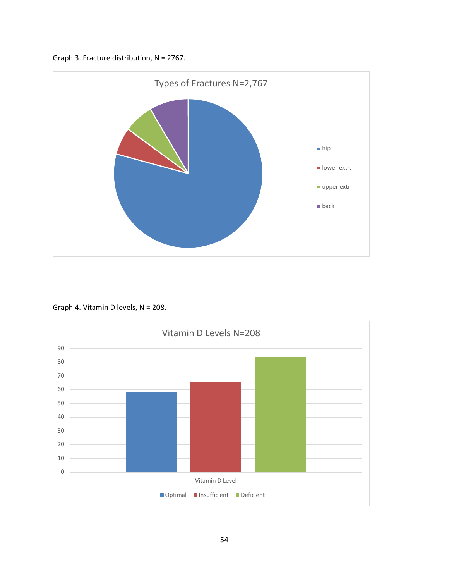



Graph 4. Vitamin D levels, N = 208.

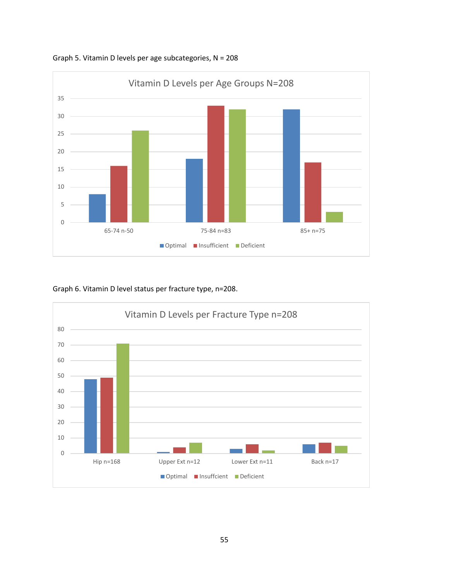

Graph 5. Vitamin D levels per age subcategories, N = 208

# Graph 6. Vitamin D level status per fracture type, n=208.

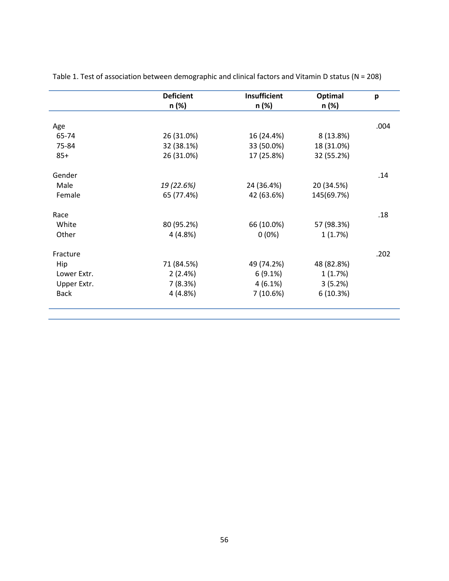| <b>Deficient</b> | <b>Insufficient</b> | Optimal          | p                |
|------------------|---------------------|------------------|------------------|
|                  |                     |                  |                  |
|                  |                     |                  | .004             |
| 26 (31.0%)       | 16 (24.4%)          | 8 (13.8%)        |                  |
| 32 (38.1%)       | 33 (50.0%)          | 18 (31.0%)       |                  |
| 26 (31.0%)       | 17 (25.8%)          | 32 (55.2%)       |                  |
|                  |                     |                  | .14              |
| 19 (22.6%)       | 24 (36.4%)          | 20 (34.5%)       |                  |
| 65 (77.4%)       | 42 (63.6%)          | 145(69.7%)       |                  |
|                  |                     |                  | .18              |
| 80 (95.2%)       | 66 (10.0%)          | 57 (98.3%)       |                  |
| 4(4.8%)          | $0(0\%)$            | 1(1.7%)          |                  |
|                  |                     |                  | .202             |
| 71 (84.5%)       | 49 (74.2%)          | 48 (82.8%)       |                  |
|                  |                     |                  |                  |
| 7(8.3%)          | $4(6.1\%)$          | 3(5.2%)          |                  |
| 4(4.8%)          | 7(10.6%)            | 6(10.3%)         |                  |
|                  | n (%)<br>2(2.4%)    | n (%)<br>6(9.1%) | n (%)<br>1(1.7%) |

Table 1. Test of association between demographic and clinical factors and Vitamin D status (N = 208)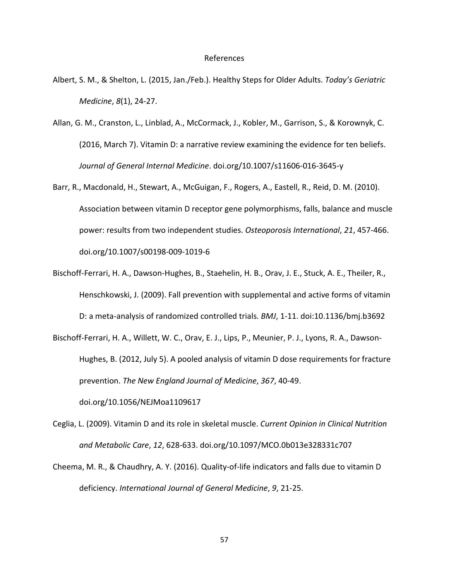#### References

- Albert, S. M., & Shelton, L. (2015, Jan./Feb.). Healthy Steps for Older Adults. *Today's Geriatric Medicine*, *8*(1), 24-27.
- Allan, G. M., Cranston, L., Linblad, A., McCormack, J., Kobler, M., Garrison, S., & Korownyk, C. (2016, March 7). Vitamin D: a narrative review examining the evidence for ten beliefs. *Journal of General Internal Medicine*. doi.org/10.1007/s11606-016-3645-y
- Barr, R., Macdonald, H., Stewart, A., McGuigan, F., Rogers, A., Eastell, R., Reid, D. M. (2010). Association between vitamin D receptor gene polymorphisms, falls, balance and muscle power: results from two independent studies. *Osteoporosis International*, *21*, 457-466. doi.org/10.1007/s00198-009-1019-6
- Bischoff-Ferrari, H. A., Dawson-Hughes, B., Staehelin, H. B., Orav, J. E., Stuck, A. E., Theiler, R., Henschkowski, J. (2009). Fall prevention with supplemental and active forms of vitamin D: a meta-analysis of randomized controlled trials. *BMJ*, 1-11. doi:10.1136/bmj.b3692
- Bischoff-Ferrari, H. A., Willett, W. C., Orav, E. J., Lips, P., Meunier, P. J., Lyons, R. A., Dawson-Hughes, B. (2012, July 5). A pooled analysis of vitamin D dose requirements for fracture prevention. *The New England Journal of Medicine*, *367*, 40-49. doi.org/10.1056/NEJMoa1109617
- Ceglia, L. (2009). Vitamin D and its role in skeletal muscle. *Current Opinion in Clinical Nutrition and Metabolic Care*, *12*, 628-633. doi.org/10.1097/MCO.0b013e328331c707
- Cheema, M. R., & Chaudhry, A. Y. (2016). Quality-of-life indicators and falls due to vitamin D deficiency. *International Journal of General Medicine*, *9*, 21-25.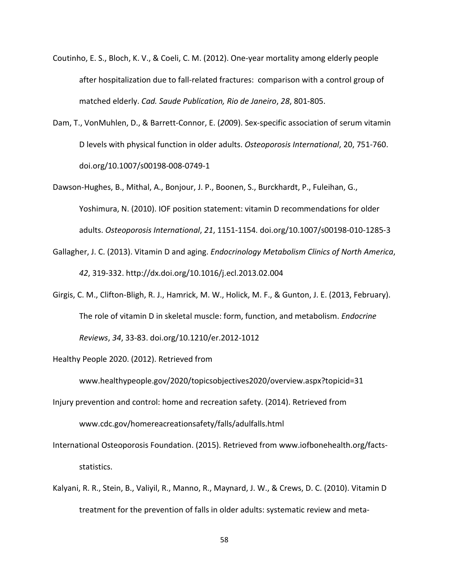- Coutinho, E. S., Bloch, K. V., & Coeli, C. M. (2012). One-year mortality among elderly people after hospitalization due to fall-related fractures: comparison with a control group of matched elderly. *Cad. Saude Publication, Rio de Janeiro*, *28*, 801-805.
- Dam, T., VonMuhlen, D., & Barrett-Connor, E. (*20*09). Sex-specific association of serum vitamin D levels with physical function in older adults. *Osteoporosis International*, 20, 751-760. doi.org/10.1007/s00198-008-0749-1
- Dawson-Hughes, B., Mithal, A., Bonjour, J. P., Boonen, S., Burckhardt, P., Fuleihan, G., Yoshimura, N. (2010). IOF position statement: vitamin D recommendations for older adults. *Osteoporosis International*, *21*, 1151-1154. doi.org/10.1007/s00198-010-1285-3
- Gallagher, J. C. (2013). Vitamin D and aging. *Endocrinology Metabolism Clinics of North America*, *42*, 319-332. http://dx.doi.org/10.1016/j.ecl.2013.02.004
- Girgis, C. M., Clifton-Bligh, R. J., Hamrick, M. W., Holick, M. F., & Gunton, J. E. (2013, February). The role of vitamin D in skeletal muscle: form, function, and metabolism. *Endocrine Reviews*, *34*, 33-83. doi.org/10.1210/er.2012-1012

Healthy People 2020. (2012). Retrieved from

www.healthypeople.gov/2020/topicsobjectives2020/overview.aspx?topicid=31

Injury prevention and control: home and recreation safety. (2014). Retrieved from www.cdc.gov/homereacreationsafety/falls/adulfalls.html

International Osteoporosis Foundation. (2015). Retrieved from www.iofbonehealth.org/factsstatistics.

Kalyani, R. R., Stein, B., Valiyil, R., Manno, R., Maynard, J. W., & Crews, D. C. (2010). Vitamin D treatment for the prevention of falls in older adults: systematic review and meta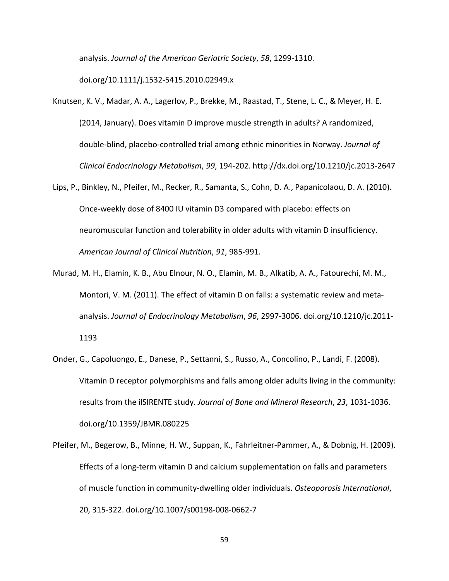analysis. *Journal of the American Geriatric Society*, *58*, 1299-1310.

doi.org/10.1111/j.1532-5415.2010.02949.x

- Knutsen, K. V., Madar, A. A., Lagerlov, P., Brekke, M., Raastad, T., Stene, L. C., & Meyer, H. E. (2014, January). Does vitamin D improve muscle strength in adults? A randomized, double-blind, placebo-controlled trial among ethnic minorities in Norway. *Journal of Clinical Endocrinology Metabolism*, *99*, 194-202. http://dx.doi.org/10.1210/jc.2013-2647
- Lips, P., Binkley, N., Pfeifer, M., Recker, R., Samanta, S., Cohn, D. A., Papanicolaou, D. A. (2010). Once-weekly dose of 8400 IU vitamin D3 compared with placebo: effects on neuromuscular function and tolerability in older adults with vitamin D insufficiency. *American Journal of Clinical Nutrition*, *91*, 985-991.
- Murad, M. H., Elamin, K. B., Abu Elnour, N. O., Elamin, M. B., Alkatib, A. A., Fatourechi, M. M., Montori, V. M. (2011). The effect of vitamin D on falls: a systematic review and metaanalysis. *Journal of Endocrinology Metabolism*, *96*, 2997-3006. doi.org/10.1210/jc.2011- 1193
- Onder, G., Capoluongo, E., Danese, P., Settanni, S., Russo, A., Concolino, P., Landi, F. (2008). Vitamin D receptor polymorphisms and falls among older adults living in the community: results from the ilSIRENTE study. *Journal of Bone and Mineral Research*, *23*, 1031-1036. doi.org/10.1359/JBMR.080225
- Pfeifer, M., Begerow, B., Minne, H. W., Suppan, K., Fahrleitner-Pammer, A., & Dobnig, H. (2009). Effects of a long-term vitamin D and calcium supplementation on falls and parameters of muscle function in community-dwelling older individuals. *Osteoporosis International*, 20, 315-322. doi.org/10.1007/s00198-008-0662-7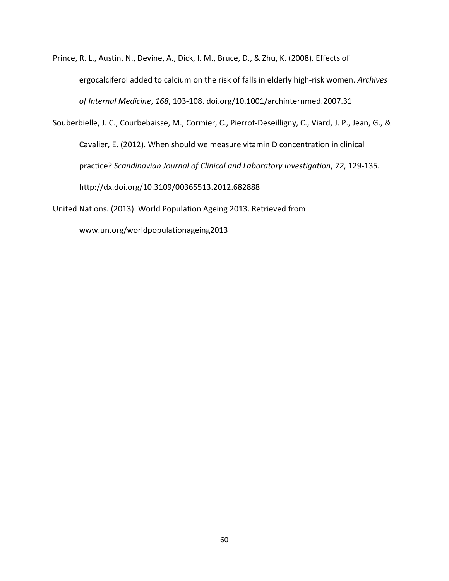- Prince, R. L., Austin, N., Devine, A., Dick, I. M., Bruce, D., & Zhu, K. (2008). Effects of ergocalciferol added to calcium on the risk of falls in elderly high-risk women. *Archives of Internal Medicine*, *168*, 103-108. doi.org/10.1001/archinternmed.2007.31
- Souberbielle, J. C., Courbebaisse, M., Cormier, C., Pierrot-Deseilligny, C., Viard, J. P., Jean, G., & Cavalier, E. (2012). When should we measure vitamin D concentration in clinical practice? *Scandinavian Journal of Clinical and Laboratory Investigation*, *72*, 129-135. http://dx.doi.org/10.3109/00365513.2012.682888
- United Nations. (2013). World Population Ageing 2013. Retrieved from

www.un.org/worldpopulationageing2013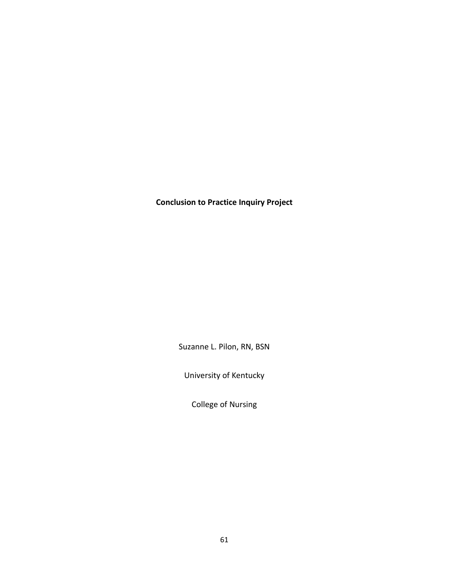**Conclusion to Practice Inquiry Project**

Suzanne L. Pilon, RN, BSN

University of Kentucky

College of Nursing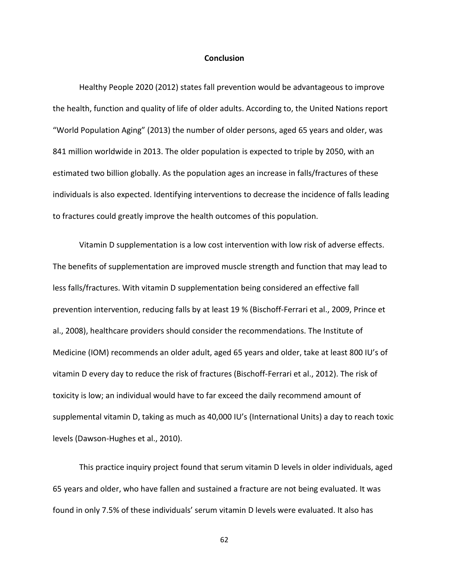## **Conclusion**

Healthy People 2020 (2012) states fall prevention would be advantageous to improve the health, function and quality of life of older adults. According to, the United Nations report "World Population Aging" (2013) the number of older persons, aged 65 years and older, was 841 million worldwide in 2013. The older population is expected to triple by 2050, with an estimated two billion globally. As the population ages an increase in falls/fractures of these individuals is also expected. Identifying interventions to decrease the incidence of falls leading to fractures could greatly improve the health outcomes of this population.

Vitamin D supplementation is a low cost intervention with low risk of adverse effects. The benefits of supplementation are improved muscle strength and function that may lead to less falls/fractures. With vitamin D supplementation being considered an effective fall prevention intervention, reducing falls by at least 19 % (Bischoff-Ferrari et al., 2009, Prince et al., 2008), healthcare providers should consider the recommendations. The Institute of Medicine (IOM) recommends an older adult, aged 65 years and older, take at least 800 IU's of vitamin D every day to reduce the risk of fractures (Bischoff-Ferrari et al., 2012). The risk of toxicity is low; an individual would have to far exceed the daily recommend amount of supplemental vitamin D, taking as much as 40,000 IU's (International Units) a day to reach toxic levels (Dawson-Hughes et al., 2010).

This practice inquiry project found that serum vitamin D levels in older individuals, aged 65 years and older, who have fallen and sustained a fracture are not being evaluated. It was found in only 7.5% of these individuals' serum vitamin D levels were evaluated. It also has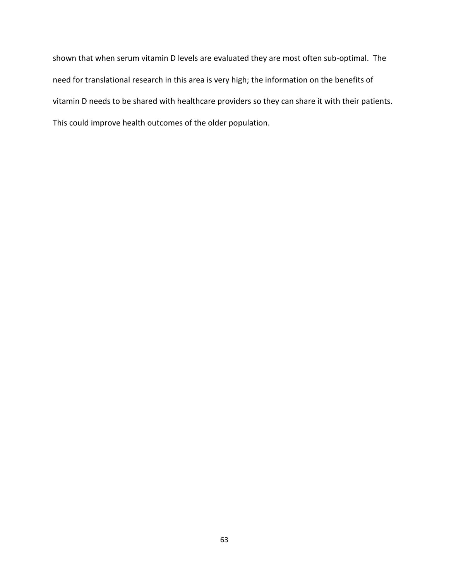shown that when serum vitamin D levels are evaluated they are most often sub-optimal. The need for translational research in this area is very high; the information on the benefits of vitamin D needs to be shared with healthcare providers so they can share it with their patients. This could improve health outcomes of the older population.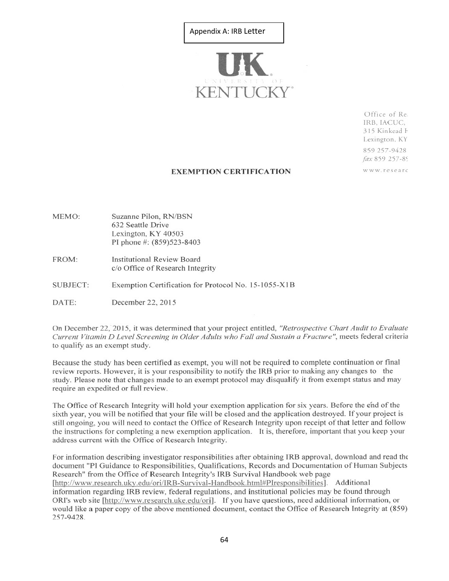# Appendix A: IRB Letter



Office of Re. IRB, IACUC, 315 Kinkead F Lexington, KY 859 257-9428 fax 859 257-89 www.researc

### **EXEMPTION CERTIFICATION**

- Suzanne Pilon, RN/BSN MEMO: 632 Seattle Drive Lexington, KY 40503 PI phone #: (859)523-8403
- FROM: **Institutional Review Board** c/o Office of Research Integrity
- **SUBJECT:** Exemption Certification for Protocol No. 15-1055-X1B
- DATE: December 22, 2015

On December 22, 2015, it was determined that your project entitled, "Retrospective Chart Audit to Evaluate Current Vitamin D Level Screening in Older Adults who Fall and Sustain a Fracture", meets federal criteria to qualify as an exempt study.

Because the study has been certified as exempt, you will not be required to complete continuation or final review reports. However, it is your responsibility to notify the IRB prior to making any changes to the study. Please note that changes made to an exempt protocol may disqualify it from exempt status and may require an expedited or full review.

The Office of Research Integrity will hold your exemption application for six years. Before the end of the sixth year, you will be notified that your file will be closed and the application destroyed. If your project is still ongoing, you will need to contact the Office of Research Integrity upon receipt of that letter and follow the instructions for completing a new exemption application. It is, therefore, important that you keep your address current with the Office of Research Integrity.

For information describing investigator responsibilities after obtaining IRB approval, download and read the document "PI Guidance to Responsibilities, Qualifications, Records and Documentation of Human Subjects Research" from the Office of Research Integrity's IRB Survival Handbook web page [http://www.research.uky.edu/ori/IRB-Survival-Handbook.html#PIresponsibilities]. Additional information regarding IRB review, federal regulations, and institutional policies may be found through ORI's web site [http://www.research.uke.edu/ori]. If you have questions, need additional information, or would like a paper copy of the above mentioned document, contact the Office of Research Integrity at (859) 257-9428.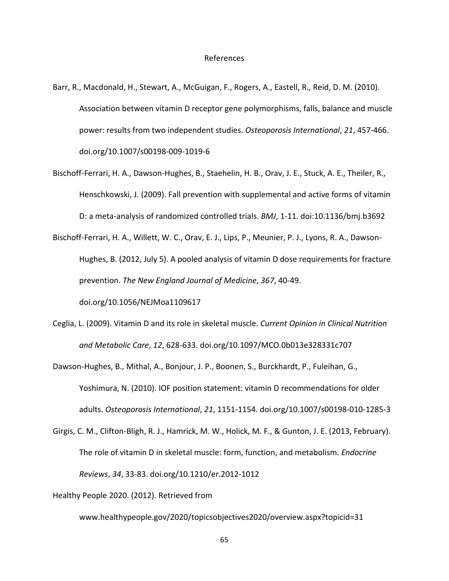- Barr, R., Macdonald, H., Stewart, A., McGuigan, F., Rogers, A., Eastell, R., Reid, D. M. (2010). Association between vitamin D receptor gene polymorphisms, falls, balance and muscle power: results from two independent studies. *Osteoporosis International*, *21*, 457-466. doi.org/10.1007/s00198-009-1019-6
- Bischoff-Ferrari, H. A., Dawson-Hughes, B., Staehelin, H. B., Orav, J. E., Stuck, A. E., Theiler, R., Henschkowski, J. (2009). Fall prevention with supplemental and active forms of vitamin D: a meta-analysis of randomized controlled trials. *BMJ*, 1-11. doi:10.1136/bmj.b3692
- Bischoff-Ferrari, H. A., Willett, W. C., Orav, E. J., Lips, P., Meunier, P. J., Lyons, R. A., Dawson-Hughes, B. (2012, July 5). A pooled analysis of vitamin D dose requirements for fracture prevention. *The New England Journal of Medicine*, *367*, 40-49. doi.org/10.1056/NEJMoa1109617
- Ceglia, L. (2009). Vitamin D and its role in skeletal muscle. *Current Opinion in Clinical Nutrition and Metabolic Care*, *12*, 628-633. doi.org/10.1097/MCO.0b013e328331c707
- Dawson-Hughes, B., Mithal, A., Bonjour, J. P., Boonen, S., Burckhardt, P., Fuleihan, G., Yoshimura, N. (2010). IOF position statement: vitamin D recommendations for older adults. *Osteoporosis International*, *21*, 1151-1154. doi.org/10.1007/s00198-010-1285-3
- Girgis, C. M., Clifton-Bligh, R. J., Hamrick, M. W., Holick, M. F., & Gunton, J. E. (2013, February). The role of vitamin D in skeletal muscle: form, function, and metabolism. *Endocrine Reviews*, *34*, 33-83. doi.org/10.1210/er.2012-1012

Healthy People 2020. (2012). Retrieved from

www.healthypeople.gov/2020/topicsobjectives2020/overview.aspx?topicid=31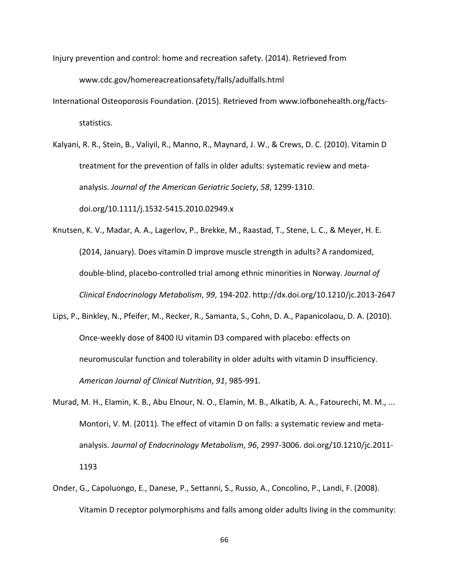Injury prevention and control: home and recreation safety. (2014). Retrieved from

www.cdc.gov/homereacreationsafety/falls/adulfalls.html

- International Osteoporosis Foundation. (2015). Retrieved from www.iofbonehealth.org/factsstatistics.
- Kalyani, R. R., Stein, B., Valiyil, R., Manno, R., Maynard, J. W., & Crews, D. C. (2010). Vitamin D treatment for the prevention of falls in older adults: systematic review and metaanalysis. *Journal of the American Geriatric Society*, *58*, 1299-1310.

doi.org/10.1111/j.1532-5415.2010.02949.x

Knutsen, K. V., Madar, A. A., Lagerlov, P., Brekke, M., Raastad, T., Stene, L. C., & Meyer, H. E. (2014, January). Does vitamin D improve muscle strength in adults? A randomized, double-blind, placebo-controlled trial among ethnic minorities in Norway. *Journal of Clinical Endocrinology Metabolism*, *99*, 194-202. http://dx.doi.org/10.1210/jc.2013-2647

- Lips, P., Binkley, N., Pfeifer, M., Recker, R., Samanta, S., Cohn, D. A., Papanicolaou, D. A. (2010). Once-weekly dose of 8400 IU vitamin D3 compared with placebo: effects on neuromuscular function and tolerability in older adults with vitamin D insufficiency. *American Journal of Clinical Nutrition*, *91*, 985-991.
- Murad, M. H., Elamin, K. B., Abu Elnour, N. O., Elamin, M. B., Alkatib, A. A., Fatourechi, M. M., ... Montori, V. M. (2011). The effect of vitamin D on falls: a systematic review and metaanalysis. *Journal of Endocrinology Metabolism*, *96*, 2997-3006. doi.org/10.1210/jc.2011- 1193
- Onder, G., Capoluongo, E., Danese, P., Settanni, S., Russo, A., Concolino, P., Landi, F. (2008). Vitamin D receptor polymorphisms and falls among older adults living in the community: